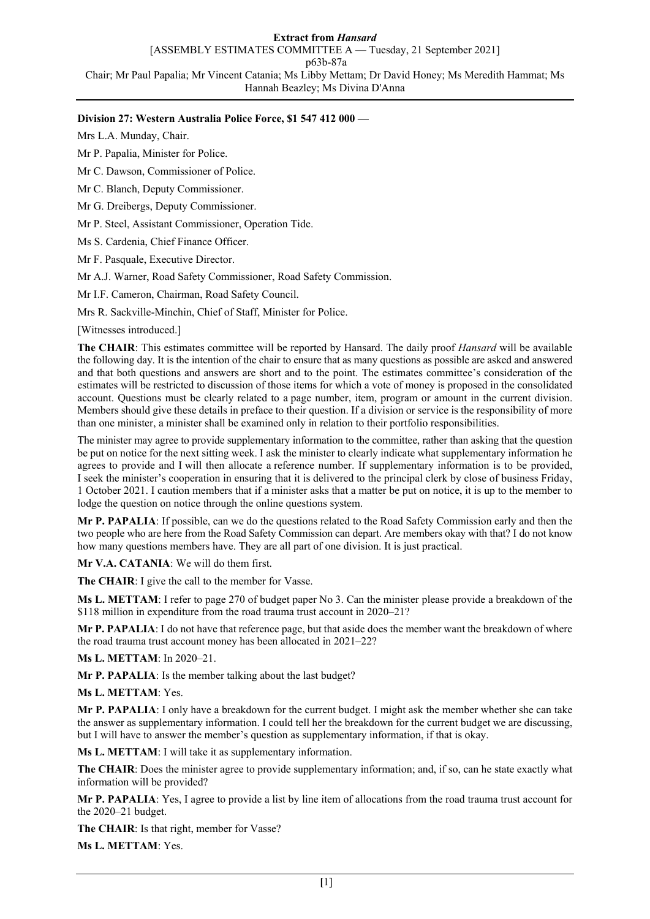## **Extract from** *Hansard*

[ASSEMBLY ESTIMATES COMMITTEE A — Tuesday, 21 September 2021]

p63b-87a

Chair; Mr Paul Papalia; Mr Vincent Catania; Ms Libby Mettam; Dr David Honey; Ms Meredith Hammat; Ms Hannah Beazley; Ms Divina D'Anna

## **Division 27: Western Australia Police Force, \$1 547 412 000 —**

Mrs L.A. Munday, Chair.

Mr P. Papalia, Minister for Police.

Mr C. Dawson, Commissioner of Police.

Mr C. Blanch, Deputy Commissioner.

Mr G. Dreibergs, Deputy Commissioner.

Mr P. Steel, Assistant Commissioner, Operation Tide.

Ms S. Cardenia, Chief Finance Officer.

Mr F. Pasquale, Executive Director.

Mr A.J. Warner, Road Safety Commissioner, Road Safety Commission.

Mr I.F. Cameron, Chairman, Road Safety Council.

Mrs R. Sackville-Minchin, Chief of Staff, Minister for Police.

[Witnesses introduced.]

**The CHAIR**: This estimates committee will be reported by Hansard. The daily proof *Hansard* will be available the following day. It is the intention of the chair to ensure that as many questions as possible are asked and answered and that both questions and answers are short and to the point. The estimates committee's consideration of the estimates will be restricted to discussion of those items for which a vote of money is proposed in the consolidated account. Questions must be clearly related to a page number, item, program or amount in the current division. Members should give these details in preface to their question. If a division or service is the responsibility of more than one minister, a minister shall be examined only in relation to their portfolio responsibilities.

The minister may agree to provide supplementary information to the committee, rather than asking that the question be put on notice for the next sitting week. I ask the minister to clearly indicate what supplementary information he agrees to provide and I will then allocate a reference number. If supplementary information is to be provided, I seek the minister's cooperation in ensuring that it is delivered to the principal clerk by close of business Friday, 1 October 2021. I caution members that if a minister asks that a matter be put on notice, it is up to the member to lodge the question on notice through the online questions system.

**Mr P. PAPALIA**: If possible, can we do the questions related to the Road Safety Commission early and then the two people who are here from the Road Safety Commission can depart. Are members okay with that? I do not know how many questions members have. They are all part of one division. It is just practical.

**Mr V.A. CATANIA**: We will do them first.

**The CHAIR**: I give the call to the member for Vasse.

**Ms L. METTAM**: I refer to page 270 of budget paper No 3. Can the minister please provide a breakdown of the \$118 million in expenditure from the road trauma trust account in 2020–21?

**Mr P. PAPALIA**: I do not have that reference page, but that aside does the member want the breakdown of where the road trauma trust account money has been allocated in 2021–22?

**Ms L. METTAM**: In 2020–21.

**Mr P. PAPALIA**: Is the member talking about the last budget?

**Ms L. METTAM**: Yes.

**Mr P. PAPALIA**: I only have a breakdown for the current budget. I might ask the member whether she can take the answer as supplementary information. I could tell her the breakdown for the current budget we are discussing, but I will have to answer the member's question as supplementary information, if that is okay.

**Ms L. METTAM**: I will take it as supplementary information.

**The CHAIR**: Does the minister agree to provide supplementary information; and, if so, can he state exactly what information will be provided?

**Mr P. PAPALIA**: Yes, I agree to provide a list by line item of allocations from the road trauma trust account for the 2020–21 budget.

**The CHAIR**: Is that right, member for Vasse?

**Ms L. METTAM**: Yes.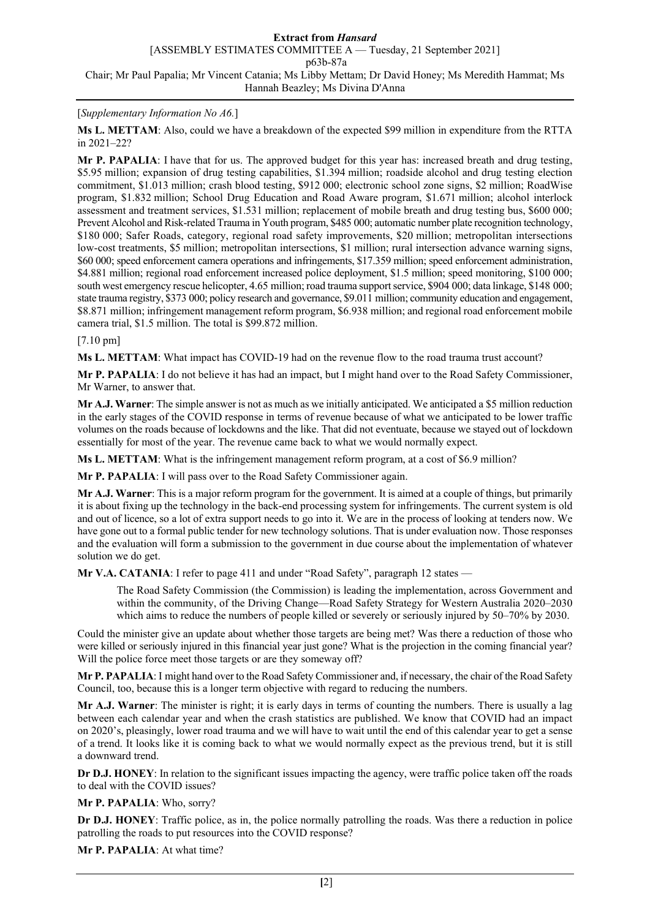## [*Supplementary Information No A6.*]

**Ms L. METTAM**: Also, could we have a breakdown of the expected \$99 million in expenditure from the RTTA in 2021–22?

**Mr P. PAPALIA**: I have that for us. The approved budget for this year has: increased breath and drug testing, \$5.95 million; expansion of drug testing capabilities, \$1.394 million; roadside alcohol and drug testing election commitment, \$1.013 million; crash blood testing, \$912 000; electronic school zone signs, \$2 million; RoadWise program, \$1.832 million; School Drug Education and Road Aware program, \$1.671 million; alcohol interlock assessment and treatment services, \$1.531 million; replacement of mobile breath and drug testing bus, \$600 000; Prevent Alcohol and Risk-related Trauma in Youth program, \$485 000; automatic number plate recognition technology, \$180 000; Safer Roads, category, regional road safety improvements, \$20 million; metropolitan intersections low-cost treatments, \$5 million; metropolitan intersections, \$1 million; rural intersection advance warning signs, \$60 000; speed enforcement camera operations and infringements, \$17.359 million; speed enforcement administration, \$4.881 million; regional road enforcement increased police deployment, \$1.5 million; speed monitoring, \$100 000; south west emergency rescue helicopter, 4.65 million; road trauma support service, \$904 000; data linkage, \$148 000; state trauma registry, \$373 000; policy research and governance, \$9.011 million; community education and engagement, \$8.871 million; infringement management reform program, \$6.938 million; and regional road enforcement mobile camera trial, \$1.5 million. The total is \$99.872 million.

### [7.10 pm]

**Ms L. METTAM**: What impact has COVID-19 had on the revenue flow to the road trauma trust account?

**Mr P. PAPALIA**: I do not believe it has had an impact, but I might hand over to the Road Safety Commissioner, Mr Warner, to answer that.

**Mr A.J. Warner**: The simple answer is not as much as we initially anticipated. We anticipated a \$5 million reduction in the early stages of the COVID response in terms of revenue because of what we anticipated to be lower traffic volumes on the roads because of lockdowns and the like. That did not eventuate, because we stayed out of lockdown essentially for most of the year. The revenue came back to what we would normally expect.

**Ms L. METTAM**: What is the infringement management reform program, at a cost of \$6.9 million?

**Mr P. PAPALIA**: I will pass over to the Road Safety Commissioner again.

**Mr A.J. Warner**: This is a major reform program for the government. It is aimed at a couple of things, but primarily it is about fixing up the technology in the back-end processing system for infringements. The current system is old and out of licence, so a lot of extra support needs to go into it. We are in the process of looking at tenders now. We have gone out to a formal public tender for new technology solutions. That is under evaluation now. Those responses and the evaluation will form a submission to the government in due course about the implementation of whatever solution we do get.

**Mr V.A. CATANIA**: I refer to page 411 and under "Road Safety", paragraph 12 states —

The Road Safety Commission (the Commission) is leading the implementation, across Government and within the community, of the Driving Change—Road Safety Strategy for Western Australia 2020–2030 which aims to reduce the numbers of people killed or severely or seriously injured by 50–70% by 2030.

Could the minister give an update about whether those targets are being met? Was there a reduction of those who were killed or seriously injured in this financial year just gone? What is the projection in the coming financial year? Will the police force meet those targets or are they someway off?

**Mr P. PAPALIA**: I might hand over to the Road Safety Commissioner and, if necessary, the chair of the Road Safety Council, too, because this is a longer term objective with regard to reducing the numbers.

**Mr A.J. Warner**: The minister is right; it is early days in terms of counting the numbers. There is usually a lag between each calendar year and when the crash statistics are published. We know that COVID had an impact on 2020's, pleasingly, lower road trauma and we will have to wait until the end of this calendar year to get a sense of a trend. It looks like it is coming back to what we would normally expect as the previous trend, but it is still a downward trend.

**Dr D.J. HONEY**: In relation to the significant issues impacting the agency, were traffic police taken off the roads to deal with the COVID issues?

### **Mr P. PAPALIA**: Who, sorry?

**Dr D.J. HONEY**: Traffic police, as in, the police normally patrolling the roads. Was there a reduction in police patrolling the roads to put resources into the COVID response?

**Mr P. PAPALIA**: At what time?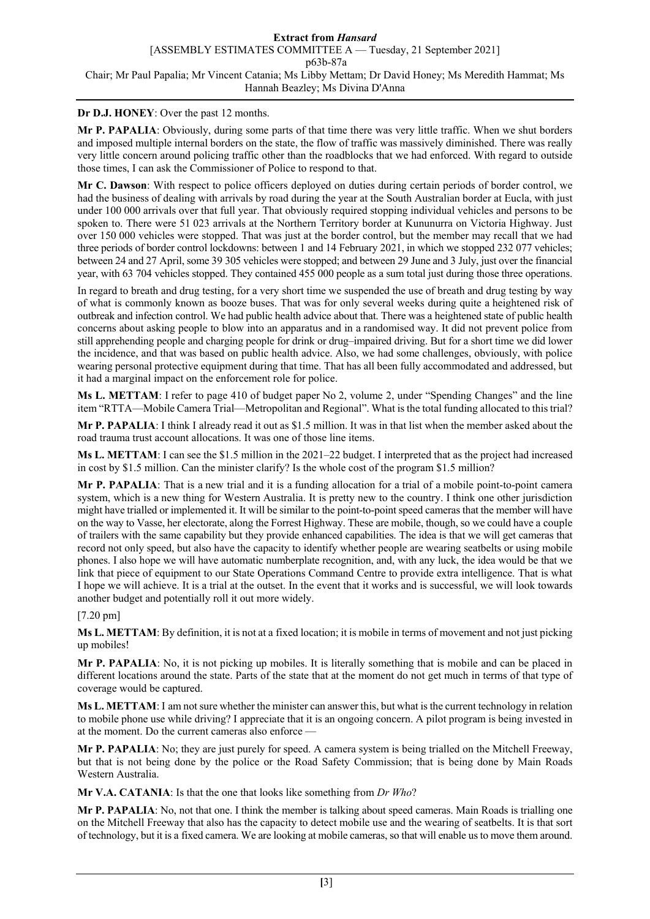## **Dr D.J. HONEY**: Over the past 12 months.

**Mr P. PAPALIA**: Obviously, during some parts of that time there was very little traffic. When we shut borders and imposed multiple internal borders on the state, the flow of traffic was massively diminished. There was really very little concern around policing traffic other than the roadblocks that we had enforced. With regard to outside those times, I can ask the Commissioner of Police to respond to that.

**Mr C. Dawson**: With respect to police officers deployed on duties during certain periods of border control, we had the business of dealing with arrivals by road during the year at the South Australian border at Eucla, with just under 100 000 arrivals over that full year. That obviously required stopping individual vehicles and persons to be spoken to. There were 51 023 arrivals at the Northern Territory border at Kununurra on Victoria Highway. Just over 150 000 vehicles were stopped. That was just at the border control, but the member may recall that we had three periods of border control lockdowns: between 1 and 14 February 2021, in which we stopped 232 077 vehicles; between 24 and 27 April, some 39 305 vehicles were stopped; and between 29 June and 3 July, just over the financial year, with 63 704 vehicles stopped. They contained 455 000 people as a sum total just during those three operations.

In regard to breath and drug testing, for a very short time we suspended the use of breath and drug testing by way of what is commonly known as booze buses. That was for only several weeks during quite a heightened risk of outbreak and infection control. We had public health advice about that. There was a heightened state of public health concerns about asking people to blow into an apparatus and in a randomised way. It did not prevent police from still apprehending people and charging people for drink or drug–impaired driving. But for a short time we did lower the incidence, and that was based on public health advice. Also, we had some challenges, obviously, with police wearing personal protective equipment during that time. That has all been fully accommodated and addressed, but it had a marginal impact on the enforcement role for police.

**Ms L. METTAM**: I refer to page 410 of budget paper No 2, volume 2, under "Spending Changes" and the line item "RTTA—Mobile Camera Trial—Metropolitan and Regional". What is the total funding allocated to this trial?

**Mr P. PAPALIA**: I think I already read it out as \$1.5 million. It was in that list when the member asked about the road trauma trust account allocations. It was one of those line items.

**Ms L. METTAM**: I can see the \$1.5 million in the 2021–22 budget. I interpreted that as the project had increased in cost by \$1.5 million. Can the minister clarify? Is the whole cost of the program \$1.5 million?

**Mr P. PAPALIA**: That is a new trial and it is a funding allocation for a trial of a mobile point-to-point camera system, which is a new thing for Western Australia. It is pretty new to the country. I think one other jurisdiction might have trialled or implemented it. It will be similar to the point-to-point speed cameras that the member will have on the way to Vasse, her electorate, along the Forrest Highway. These are mobile, though, so we could have a couple of trailers with the same capability but they provide enhanced capabilities. The idea is that we will get cameras that record not only speed, but also have the capacity to identify whether people are wearing seatbelts or using mobile phones. I also hope we will have automatic numberplate recognition, and, with any luck, the idea would be that we link that piece of equipment to our State Operations Command Centre to provide extra intelligence. That is what I hope we will achieve. It is a trial at the outset. In the event that it works and is successful, we will look towards another budget and potentially roll it out more widely.

### [7.20 pm]

**Ms L. METTAM**: By definition, it is not at a fixed location; it is mobile in terms of movement and not just picking up mobiles!

**Mr P. PAPALIA**: No, it is not picking up mobiles. It is literally something that is mobile and can be placed in different locations around the state. Parts of the state that at the moment do not get much in terms of that type of coverage would be captured.

**Ms L. METTAM**: I am not sure whether the minister can answer this, but what is the current technology in relation to mobile phone use while driving? I appreciate that it is an ongoing concern. A pilot program is being invested in at the moment. Do the current cameras also enforce —

**Mr P. PAPALIA**: No; they are just purely for speed. A camera system is being trialled on the Mitchell Freeway, but that is not being done by the police or the Road Safety Commission; that is being done by Main Roads Western Australia.

**Mr V.A. CATANIA**: Is that the one that looks like something from *Dr Who*?

**Mr P. PAPALIA**: No, not that one. I think the member is talking about speed cameras. Main Roads is trialling one on the Mitchell Freeway that also has the capacity to detect mobile use and the wearing of seatbelts. It is that sort of technology, but it is a fixed camera. We are looking at mobile cameras, so that will enable us to move them around.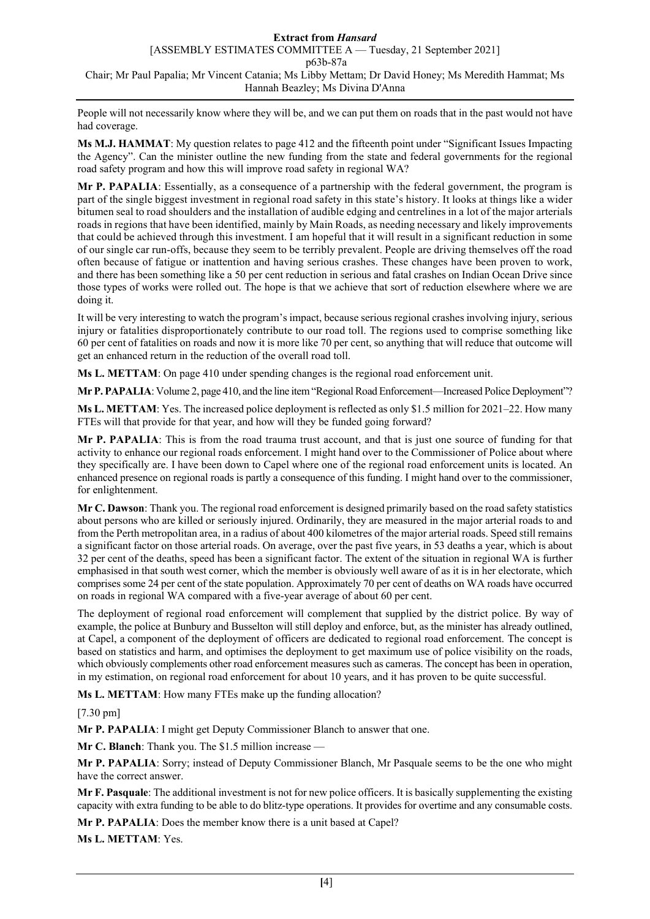People will not necessarily know where they will be, and we can put them on roads that in the past would not have had coverage.

**Ms M.J. HAMMAT**: My question relates to page 412 and the fifteenth point under "Significant Issues Impacting the Agency". Can the minister outline the new funding from the state and federal governments for the regional road safety program and how this will improve road safety in regional WA?

**Mr P. PAPALIA**: Essentially, as a consequence of a partnership with the federal government, the program is part of the single biggest investment in regional road safety in this state's history. It looks at things like a wider bitumen seal to road shoulders and the installation of audible edging and centrelines in a lot of the major arterials roads in regions that have been identified, mainly by Main Roads, as needing necessary and likely improvements that could be achieved through this investment. I am hopeful that it will result in a significant reduction in some of our single car run-offs, because they seem to be terribly prevalent. People are driving themselves off the road often because of fatigue or inattention and having serious crashes. These changes have been proven to work, and there has been something like a 50 per cent reduction in serious and fatal crashes on Indian Ocean Drive since those types of works were rolled out. The hope is that we achieve that sort of reduction elsewhere where we are doing it.

It will be very interesting to watch the program's impact, because serious regional crashes involving injury, serious injury or fatalities disproportionately contribute to our road toll. The regions used to comprise something like 60 per cent of fatalities on roads and now it is more like 70 per cent, so anything that will reduce that outcome will get an enhanced return in the reduction of the overall road toll.

**Ms L. METTAM**: On page 410 under spending changes is the regional road enforcement unit.

**Mr P. PAPALIA**: Volume 2, page 410, and the line item "Regional Road Enforcement—Increased Police Deployment"?

**Ms L. METTAM**: Yes. The increased police deployment is reflected as only \$1.5 million for 2021–22. How many FTEs will that provide for that year, and how will they be funded going forward?

**Mr P. PAPALIA**: This is from the road trauma trust account, and that is just one source of funding for that activity to enhance our regional roads enforcement. I might hand over to the Commissioner of Police about where they specifically are. I have been down to Capel where one of the regional road enforcement units is located. An enhanced presence on regional roads is partly a consequence of this funding. I might hand over to the commissioner, for enlightenment.

**Mr C. Dawson**: Thank you. The regional road enforcement is designed primarily based on the road safety statistics about persons who are killed or seriously injured. Ordinarily, they are measured in the major arterial roads to and from the Perth metropolitan area, in a radius of about 400 kilometres of the major arterial roads. Speed still remains a significant factor on those arterial roads. On average, over the past five years, in 53 deaths a year, which is about 32 per cent of the deaths, speed has been a significant factor. The extent of the situation in regional WA is further emphasised in that south west corner, which the member is obviously well aware of as it is in her electorate, which comprises some 24 per cent of the state population. Approximately 70 per cent of deaths on WA roads have occurred on roads in regional WA compared with a five-year average of about 60 per cent.

The deployment of regional road enforcement will complement that supplied by the district police. By way of example, the police at Bunbury and Busselton will still deploy and enforce, but, as the minister has already outlined, at Capel, a component of the deployment of officers are dedicated to regional road enforcement. The concept is based on statistics and harm, and optimises the deployment to get maximum use of police visibility on the roads, which obviously complements other road enforcement measures such as cameras. The concept has been in operation, in my estimation, on regional road enforcement for about 10 years, and it has proven to be quite successful.

**Ms L. METTAM**: How many FTEs make up the funding allocation?

[7.30 pm]

**Mr P. PAPALIA**: I might get Deputy Commissioner Blanch to answer that one.

**Mr C. Blanch**: Thank you. The \$1.5 million increase —

**Mr P. PAPALIA**: Sorry; instead of Deputy Commissioner Blanch, Mr Pasquale seems to be the one who might have the correct answer.

**Mr F. Pasquale**: The additional investment is not for new police officers. It is basically supplementing the existing capacity with extra funding to be able to do blitz-type operations. It provides for overtime and any consumable costs.

**Mr P. PAPALIA**: Does the member know there is a unit based at Capel?

**Ms L. METTAM**: Yes.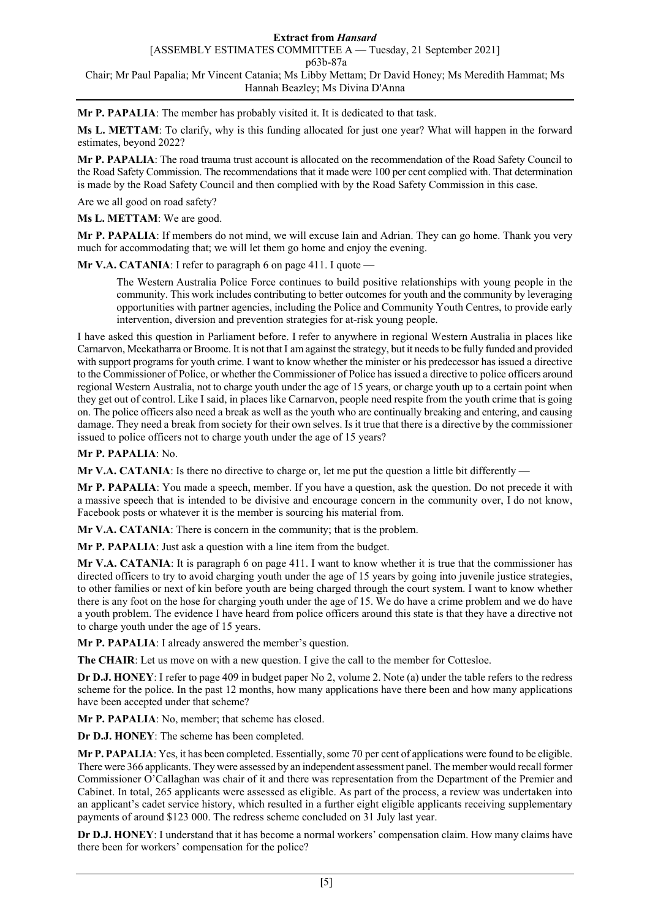**Mr P. PAPALIA**: The member has probably visited it. It is dedicated to that task.

**Ms L. METTAM**: To clarify, why is this funding allocated for just one year? What will happen in the forward estimates, beyond 2022?

**Mr P. PAPALIA**: The road trauma trust account is allocated on the recommendation of the Road Safety Council to the Road Safety Commission. The recommendations that it made were 100 per cent complied with. That determination is made by the Road Safety Council and then complied with by the Road Safety Commission in this case.

Are we all good on road safety?

**Ms L. METTAM**: We are good.

**Mr P. PAPALIA**: If members do not mind, we will excuse Iain and Adrian. They can go home. Thank you very much for accommodating that; we will let them go home and enjoy the evening.

**Mr V.A. CATANIA**: I refer to paragraph 6 on page 411. I quote –

The Western Australia Police Force continues to build positive relationships with young people in the community. This work includes contributing to better outcomes for youth and the community by leveraging opportunities with partner agencies, including the Police and Community Youth Centres, to provide early intervention, diversion and prevention strategies for at-risk young people.

I have asked this question in Parliament before. I refer to anywhere in regional Western Australia in places like Carnarvon, Meekatharra or Broome. It is not that I am against the strategy, but it needs to be fully funded and provided with support programs for youth crime. I want to know whether the minister or his predecessor has issued a directive to the Commissioner of Police, or whether the Commissioner of Police has issued a directive to police officers around regional Western Australia, not to charge youth under the age of 15 years, or charge youth up to a certain point when they get out of control. Like I said, in places like Carnarvon, people need respite from the youth crime that is going on. The police officers also need a break as well as the youth who are continually breaking and entering, and causing damage. They need a break from society for their own selves. Is it true that there is a directive by the commissioner issued to police officers not to charge youth under the age of 15 years?

## **Mr P. PAPALIA**: No.

**Mr V.A. CATANIA**: Is there no directive to charge or, let me put the question a little bit differently —

**Mr P. PAPALIA**: You made a speech, member. If you have a question, ask the question. Do not precede it with a massive speech that is intended to be divisive and encourage concern in the community over, I do not know, Facebook posts or whatever it is the member is sourcing his material from.

**Mr V.A. CATANIA**: There is concern in the community; that is the problem.

**Mr P. PAPALIA**: Just ask a question with a line item from the budget.

**Mr V.A. CATANIA**: It is paragraph 6 on page 411. I want to know whether it is true that the commissioner has directed officers to try to avoid charging youth under the age of 15 years by going into juvenile justice strategies, to other families or next of kin before youth are being charged through the court system. I want to know whether there is any foot on the hose for charging youth under the age of 15. We do have a crime problem and we do have a youth problem. The evidence I have heard from police officers around this state is that they have a directive not to charge youth under the age of 15 years.

**Mr P. PAPALIA:** I already answered the member's question.

**The CHAIR**: Let us move on with a new question. I give the call to the member for Cottesloe.

**Dr D.J. HONEY**: I refer to page 409 in budget paper No 2, volume 2. Note (a) under the table refers to the redress scheme for the police. In the past 12 months, how many applications have there been and how many applications have been accepted under that scheme?

**Mr P. PAPALIA**: No, member; that scheme has closed.

**Dr D.J. HONEY**: The scheme has been completed.

**Mr P. PAPALIA**: Yes, it has been completed. Essentially, some 70 per cent of applications were found to be eligible. There were 366 applicants. They were assessed by an independent assessment panel. The member would recall former Commissioner O'Callaghan was chair of it and there was representation from the Department of the Premier and Cabinet. In total, 265 applicants were assessed as eligible. As part of the process, a review was undertaken into an applicant's cadet service history, which resulted in a further eight eligible applicants receiving supplementary payments of around \$123 000. The redress scheme concluded on 31 July last year.

**Dr D.J. HONEY**: I understand that it has become a normal workers' compensation claim. How many claims have there been for workers' compensation for the police?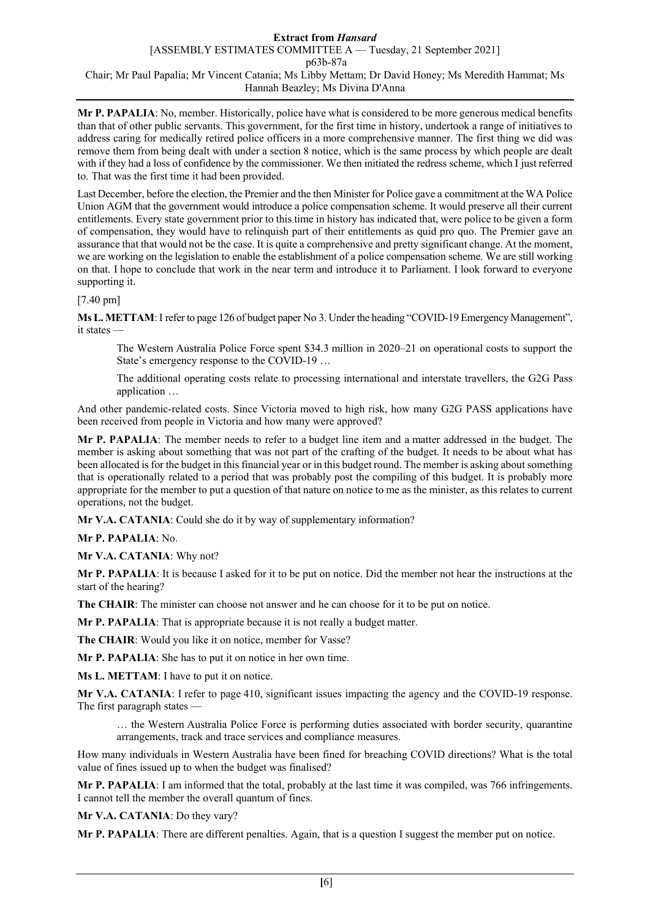**Mr P. PAPALIA**: No, member. Historically, police have what is considered to be more generous medical benefits than that of other public servants. This government, for the first time in history, undertook a range of initiatives to address caring for medically retired police officers in a more comprehensive manner. The first thing we did was remove them from being dealt with under a section 8 notice, which is the same process by which people are dealt with if they had a loss of confidence by the commissioner. We then initiated the redress scheme, which I just referred to. That was the first time it had been provided.

Last December, before the election, the Premier and the then Minister for Police gave a commitment at the WA Police Union AGM that the government would introduce a police compensation scheme. It would preserve all their current entitlements. Every state government prior to this time in history has indicated that, were police to be given a form of compensation, they would have to relinquish part of their entitlements as quid pro quo. The Premier gave an assurance that that would not be the case. It is quite a comprehensive and pretty significant change. At the moment, we are working on the legislation to enable the establishment of a police compensation scheme. We are still working on that. I hope to conclude that work in the near term and introduce it to Parliament. I look forward to everyone supporting it.

[7.40 pm]

**Ms L. METTAM**: I refer to page 126 of budget paper No 3. Under the heading "COVID-19 Emergency Management", it states —

The Western Australia Police Force spent \$34.3 million in 2020–21 on operational costs to support the State's emergency response to the COVID-19 …

The additional operating costs relate to processing international and interstate travellers, the G2G Pass application …

And other pandemic-related costs. Since Victoria moved to high risk, how many G2G PASS applications have been received from people in Victoria and how many were approved?

**Mr P. PAPALIA**: The member needs to refer to a budget line item and a matter addressed in the budget. The member is asking about something that was not part of the crafting of the budget. It needs to be about what has been allocated is for the budget in this financial year or in this budget round. The member is asking about something that is operationally related to a period that was probably post the compiling of this budget. It is probably more appropriate for the member to put a question of that nature on notice to me as the minister, as this relates to current operations, not the budget.

**Mr V.A. CATANIA**: Could she do it by way of supplementary information?

**Mr P. PAPALIA**: No.

**Mr V.A. CATANIA**: Why not?

**Mr P. PAPALIA**: It is because I asked for it to be put on notice. Did the member not hear the instructions at the start of the hearing?

**The CHAIR**: The minister can choose not answer and he can choose for it to be put on notice.

**Mr P. PAPALIA**: That is appropriate because it is not really a budget matter.

**The CHAIR**: Would you like it on notice, member for Vasse?

**Mr P. PAPALIA**: She has to put it on notice in her own time.

**Ms L. METTAM**: I have to put it on notice.

**Mr V.A. CATANIA**: I refer to page 410, significant issues impacting the agency and the COVID-19 response. The first paragraph states —

… the Western Australia Police Force is performing duties associated with border security, quarantine arrangements, track and trace services and compliance measures.

How many individuals in Western Australia have been fined for breaching COVID directions? What is the total value of fines issued up to when the budget was finalised?

**Mr P. PAPALIA**: I am informed that the total, probably at the last time it was compiled, was 766 infringements. I cannot tell the member the overall quantum of fines.

**Mr V.A. CATANIA**: Do they vary?

**Mr P. PAPALIA**: There are different penalties. Again, that is a question I suggest the member put on notice.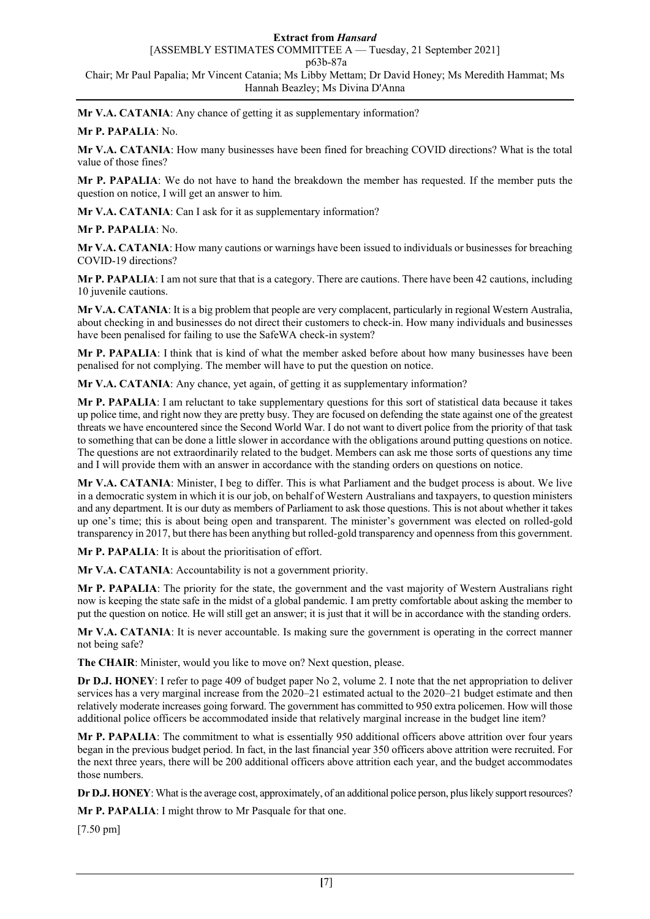**Mr V.A. CATANIA**: Any chance of getting it as supplementary information?

## **Mr P. PAPALIA**: No.

**Mr V.A. CATANIA**: How many businesses have been fined for breaching COVID directions? What is the total value of those fines?

**Mr P. PAPALIA**: We do not have to hand the breakdown the member has requested. If the member puts the question on notice, I will get an answer to him.

**Mr V.A. CATANIA**: Can I ask for it as supplementary information?

**Mr P. PAPALIA**: No.

**Mr V.A. CATANIA**: How many cautions or warnings have been issued to individuals or businesses for breaching COVID-19 directions?

**Mr P. PAPALIA**: I am not sure that that is a category. There are cautions. There have been 42 cautions, including 10 juvenile cautions.

**Mr V.A. CATANIA**: It is a big problem that people are very complacent, particularly in regional Western Australia, about checking in and businesses do not direct their customers to check-in. How many individuals and businesses have been penalised for failing to use the SafeWA check-in system?

**Mr P. PAPALIA**: I think that is kind of what the member asked before about how many businesses have been penalised for not complying. The member will have to put the question on notice.

**Mr V.A. CATANIA**: Any chance, yet again, of getting it as supplementary information?

**Mr P. PAPALIA**: I am reluctant to take supplementary questions for this sort of statistical data because it takes up police time, and right now they are pretty busy. They are focused on defending the state against one of the greatest threats we have encountered since the Second World War. I do not want to divert police from the priority of that task to something that can be done a little slower in accordance with the obligations around putting questions on notice. The questions are not extraordinarily related to the budget. Members can ask me those sorts of questions any time and I will provide them with an answer in accordance with the standing orders on questions on notice.

**Mr V.A. CATANIA**: Minister, I beg to differ. This is what Parliament and the budget process is about. We live in a democratic system in which it is our job, on behalf of Western Australians and taxpayers, to question ministers and any department. It is our duty as members of Parliament to ask those questions. This is not about whether it takes up one's time; this is about being open and transparent. The minister's government was elected on rolled-gold transparency in 2017, but there has been anything but rolled-gold transparency and openness from this government.

**Mr P. PAPALIA**: It is about the prioritisation of effort.

**Mr V.A. CATANIA**: Accountability is not a government priority.

**Mr P. PAPALIA**: The priority for the state, the government and the vast majority of Western Australians right now is keeping the state safe in the midst of a global pandemic. I am pretty comfortable about asking the member to put the question on notice. He will still get an answer; it is just that it will be in accordance with the standing orders.

**Mr V.A. CATANIA**: It is never accountable. Is making sure the government is operating in the correct manner not being safe?

**The CHAIR**: Minister, would you like to move on? Next question, please.

**Dr D.J. HONEY**: I refer to page 409 of budget paper No 2, volume 2. I note that the net appropriation to deliver services has a very marginal increase from the 2020–21 estimated actual to the 2020–21 budget estimate and then relatively moderate increases going forward. The government has committed to 950 extra policemen. How will those additional police officers be accommodated inside that relatively marginal increase in the budget line item?

**Mr P. PAPALIA**: The commitment to what is essentially 950 additional officers above attrition over four years began in the previous budget period. In fact, in the last financial year 350 officers above attrition were recruited. For the next three years, there will be 200 additional officers above attrition each year, and the budget accommodates those numbers.

**Dr D.J. HONEY**: What is the average cost, approximately, of an additional police person, plus likely support resources?

**Mr P. PAPALIA**: I might throw to Mr Pasquale for that one.

[7.50 pm]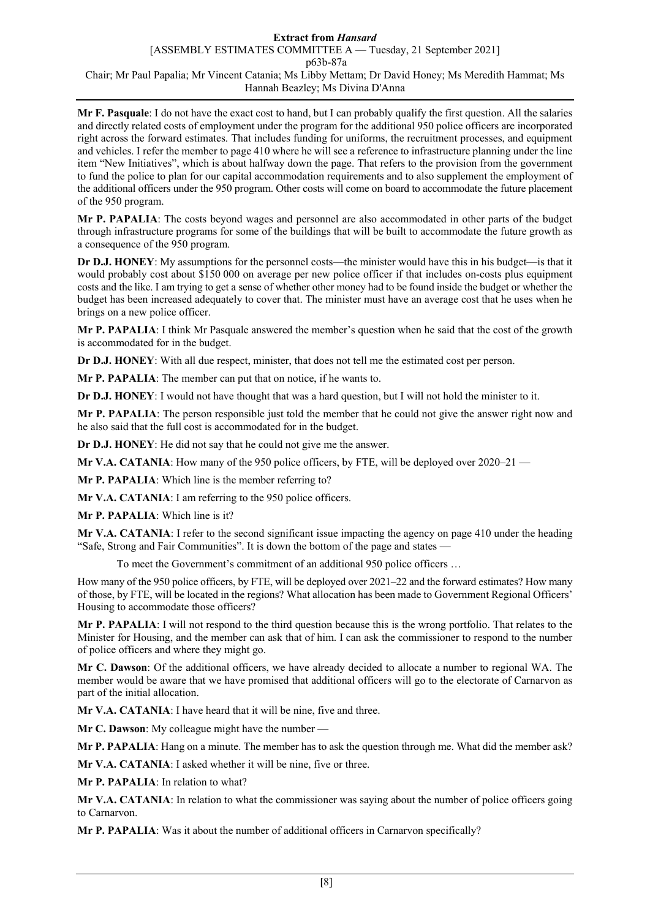**Mr F. Pasquale**: I do not have the exact cost to hand, but I can probably qualify the first question. All the salaries and directly related costs of employment under the program for the additional 950 police officers are incorporated right across the forward estimates. That includes funding for uniforms, the recruitment processes, and equipment and vehicles. I refer the member to page 410 where he will see a reference to infrastructure planning under the line item "New Initiatives", which is about halfway down the page. That refers to the provision from the government to fund the police to plan for our capital accommodation requirements and to also supplement the employment of the additional officers under the 950 program. Other costs will come on board to accommodate the future placement of the 950 program.

**Mr P. PAPALIA**: The costs beyond wages and personnel are also accommodated in other parts of the budget through infrastructure programs for some of the buildings that will be built to accommodate the future growth as a consequence of the 950 program.

**Dr D.J. HONEY**: My assumptions for the personnel costs—the minister would have this in his budget—is that it would probably cost about \$150 000 on average per new police officer if that includes on-costs plus equipment costs and the like. I am trying to get a sense of whether other money had to be found inside the budget or whether the budget has been increased adequately to cover that. The minister must have an average cost that he uses when he brings on a new police officer.

**Mr P. PAPALIA**: I think Mr Pasquale answered the member's question when he said that the cost of the growth is accommodated for in the budget.

**Dr D.J. HONEY**: With all due respect, minister, that does not tell me the estimated cost per person.

**Mr P. PAPALIA**: The member can put that on notice, if he wants to.

**Dr D.J. HONEY**: I would not have thought that was a hard question, but I will not hold the minister to it.

**Mr P. PAPALIA**: The person responsible just told the member that he could not give the answer right now and he also said that the full cost is accommodated for in the budget.

**Dr D.J. HONEY**: He did not say that he could not give me the answer.

**Mr V.A. CATANIA**: How many of the 950 police officers, by FTE, will be deployed over 2020–21 —

**Mr P. PAPALIA**: Which line is the member referring to?

**Mr V.A. CATANIA**: I am referring to the 950 police officers.

**Mr P. PAPALIA**: Which line is it?

**Mr V.A. CATANIA**: I refer to the second significant issue impacting the agency on page 410 under the heading "Safe, Strong and Fair Communities". It is down the bottom of the page and states —

To meet the Government's commitment of an additional 950 police officers …

How many of the 950 police officers, by FTE, will be deployed over 2021–22 and the forward estimates? How many of those, by FTE, will be located in the regions? What allocation has been made to Government Regional Officers' Housing to accommodate those officers?

**Mr P. PAPALIA**: I will not respond to the third question because this is the wrong portfolio. That relates to the Minister for Housing, and the member can ask that of him. I can ask the commissioner to respond to the number of police officers and where they might go.

**Mr C. Dawson**: Of the additional officers, we have already decided to allocate a number to regional WA. The member would be aware that we have promised that additional officers will go to the electorate of Carnarvon as part of the initial allocation.

**Mr V.A. CATANIA**: I have heard that it will be nine, five and three.

**Mr C. Dawson**: My colleague might have the number —

**Mr P. PAPALIA**: Hang on a minute. The member has to ask the question through me. What did the member ask?

**Mr V.A. CATANIA**: I asked whether it will be nine, five or three.

**Mr P. PAPALIA**: In relation to what?

**Mr V.A. CATANIA**: In relation to what the commissioner was saying about the number of police officers going to Carnarvon.

**Mr P. PAPALIA**: Was it about the number of additional officers in Carnarvon specifically?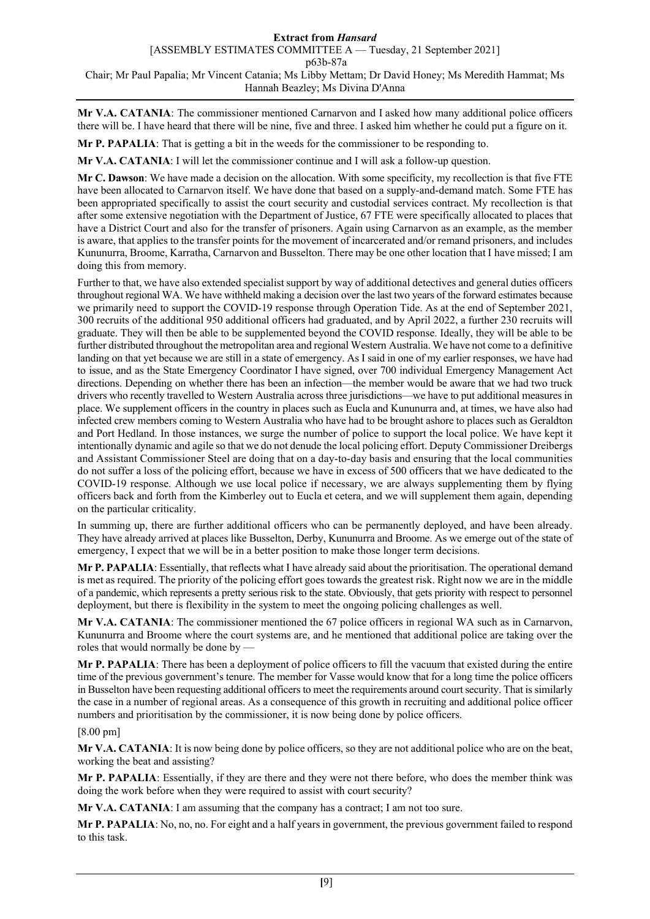**Mr V.A. CATANIA**: The commissioner mentioned Carnarvon and I asked how many additional police officers there will be. I have heard that there will be nine, five and three. I asked him whether he could put a figure on it.

**Mr P. PAPALIA**: That is getting a bit in the weeds for the commissioner to be responding to.

**Mr V.A. CATANIA**: I will let the commissioner continue and I will ask a follow-up question.

**Mr C. Dawson**: We have made a decision on the allocation. With some specificity, my recollection is that five FTE have been allocated to Carnarvon itself. We have done that based on a supply-and-demand match. Some FTE has been appropriated specifically to assist the court security and custodial services contract. My recollection is that after some extensive negotiation with the Department of Justice, 67 FTE were specifically allocated to places that have a District Court and also for the transfer of prisoners. Again using Carnarvon as an example, as the member is aware, that applies to the transfer points for the movement of incarcerated and/or remand prisoners, and includes Kununurra, Broome, Karratha, Carnarvon and Busselton. There may be one other location that I have missed; I am doing this from memory.

Further to that, we have also extended specialist support by way of additional detectives and general duties officers throughout regional WA. We have withheld making a decision over the last two years of the forward estimates because we primarily need to support the COVID-19 response through Operation Tide. As at the end of September 2021, 300 recruits of the additional 950 additional officers had graduated, and by April 2022, a further 230 recruits will graduate. They will then be able to be supplemented beyond the COVID response. Ideally, they will be able to be further distributed throughout the metropolitan area and regional Western Australia. We have not come to a definitive landing on that yet because we are still in a state of emergency. As I said in one of my earlier responses, we have had to issue, and as the State Emergency Coordinator I have signed, over 700 individual Emergency Management Act directions. Depending on whether there has been an infection—the member would be aware that we had two truck drivers who recently travelled to Western Australia across three jurisdictions—we have to put additional measures in place. We supplement officers in the country in places such as Eucla and Kununurra and, at times, we have also had infected crew members coming to Western Australia who have had to be brought ashore to places such as Geraldton and Port Hedland. In those instances, we surge the number of police to support the local police. We have kept it intentionally dynamic and agile so that we do not denude the local policing effort. Deputy Commissioner Dreibergs and Assistant Commissioner Steel are doing that on a day-to-day basis and ensuring that the local communities do not suffer a loss of the policing effort, because we have in excess of 500 officers that we have dedicated to the COVID-19 response. Although we use local police if necessary, we are always supplementing them by flying officers back and forth from the Kimberley out to Eucla et cetera, and we will supplement them again, depending on the particular criticality.

In summing up, there are further additional officers who can be permanently deployed, and have been already. They have already arrived at places like Busselton, Derby, Kununurra and Broome. As we emerge out of the state of emergency, I expect that we will be in a better position to make those longer term decisions.

**Mr P. PAPALIA**: Essentially, that reflects what I have already said about the prioritisation. The operational demand is met as required. The priority of the policing effort goes towards the greatest risk. Right now we are in the middle of a pandemic, which represents a pretty serious risk to the state. Obviously, that gets priority with respect to personnel deployment, but there is flexibility in the system to meet the ongoing policing challenges as well.

**Mr V.A. CATANIA**: The commissioner mentioned the 67 police officers in regional WA such as in Carnarvon, Kununurra and Broome where the court systems are, and he mentioned that additional police are taking over the roles that would normally be done by —

**Mr P. PAPALIA**: There has been a deployment of police officers to fill the vacuum that existed during the entire time of the previous government's tenure. The member for Vasse would know that for a long time the police officers in Busselton have been requesting additional officers to meet the requirements around court security. That is similarly the case in a number of regional areas. As a consequence of this growth in recruiting and additional police officer numbers and prioritisation by the commissioner, it is now being done by police officers.

### [8.00 pm]

**Mr V.A. CATANIA**: It is now being done by police officers, so they are not additional police who are on the beat, working the beat and assisting?

**Mr P. PAPALIA**: Essentially, if they are there and they were not there before, who does the member think was doing the work before when they were required to assist with court security?

**Mr V.A. CATANIA**: I am assuming that the company has a contract; I am not too sure.

**Mr P. PAPALIA**: No, no, no. For eight and a half years in government, the previous government failed to respond to this task.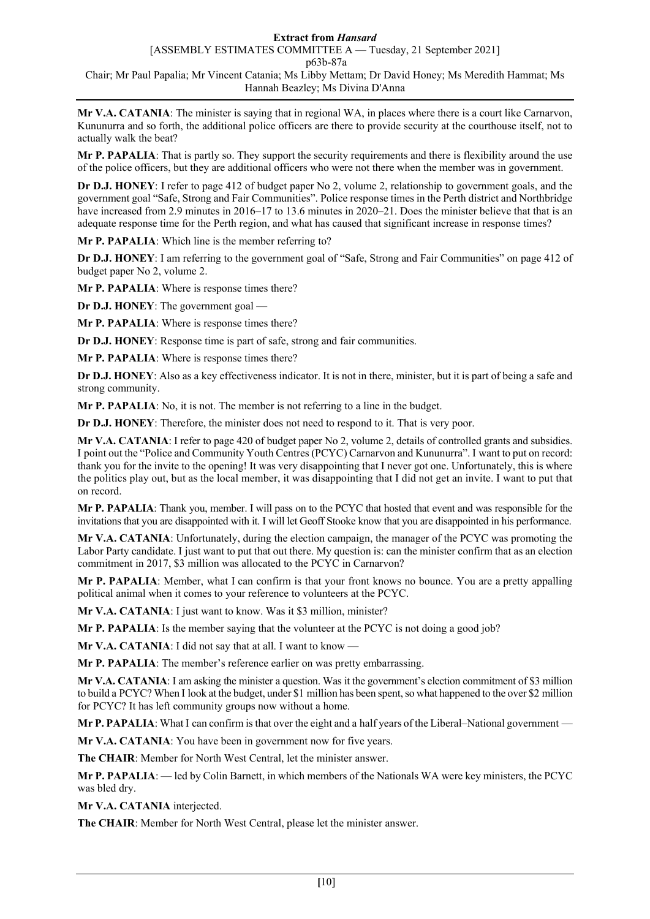## **Extract from** *Hansard*

[ASSEMBLY ESTIMATES COMMITTEE A — Tuesday, 21 September 2021] p63b-87a Chair; Mr Paul Papalia; Mr Vincent Catania; Ms Libby Mettam; Dr David Honey; Ms Meredith Hammat; Ms Hannah Beazley; Ms Divina D'Anna

**Mr V.A. CATANIA**: The minister is saying that in regional WA, in places where there is a court like Carnarvon, Kununurra and so forth, the additional police officers are there to provide security at the courthouse itself, not to actually walk the beat?

**Mr P. PAPALIA**: That is partly so. They support the security requirements and there is flexibility around the use of the police officers, but they are additional officers who were not there when the member was in government.

**Dr D.J. HONEY**: I refer to page 412 of budget paper No 2, volume 2, relationship to government goals, and the government goal "Safe, Strong and Fair Communities". Police response times in the Perth district and Northbridge have increased from 2.9 minutes in 2016–17 to 13.6 minutes in 2020–21. Does the minister believe that that is an adequate response time for the Perth region, and what has caused that significant increase in response times?

**Mr P. PAPALIA**: Which line is the member referring to?

**Dr D.J. HONEY**: I am referring to the government goal of "Safe, Strong and Fair Communities" on page 412 of budget paper No 2, volume 2.

**Mr P. PAPALIA**: Where is response times there?

**Dr D.J. HONEY**: The government goal —

**Mr P. PAPALIA**: Where is response times there?

**Dr D.J. HONEY**: Response time is part of safe, strong and fair communities.

**Mr P. PAPALIA**: Where is response times there?

**Dr D.J. HONEY**: Also as a key effectiveness indicator. It is not in there, minister, but it is part of being a safe and strong community.

**Mr P. PAPALIA**: No, it is not. The member is not referring to a line in the budget.

**Dr D.J. HONEY**: Therefore, the minister does not need to respond to it. That is very poor.

**Mr V.A. CATANIA**: I refer to page 420 of budget paper No 2, volume 2, details of controlled grants and subsidies. I point out the "Police and Community Youth Centres (PCYC) Carnarvon and Kununurra". I want to put on record: thank you for the invite to the opening! It was very disappointing that I never got one. Unfortunately, this is where the politics play out, but as the local member, it was disappointing that I did not get an invite. I want to put that on record.

**Mr P. PAPALIA**: Thank you, member. I will pass on to the PCYC that hosted that event and was responsible for the invitations that you are disappointed with it. I will let Geoff Stooke know that you are disappointed in his performance.

**Mr V.A. CATANIA**: Unfortunately, during the election campaign, the manager of the PCYC was promoting the Labor Party candidate. I just want to put that out there. My question is: can the minister confirm that as an election commitment in 2017, \$3 million was allocated to the PCYC in Carnarvon?

**Mr P. PAPALIA**: Member, what I can confirm is that your front knows no bounce. You are a pretty appalling political animal when it comes to your reference to volunteers at the PCYC.

**Mr V.A. CATANIA**: I just want to know. Was it \$3 million, minister?

**Mr P. PAPALIA**: Is the member saying that the volunteer at the PCYC is not doing a good job?

**Mr V.A. CATANIA:** I did not say that at all. I want to know —

**Mr P. PAPALIA**: The member's reference earlier on was pretty embarrassing.

**Mr V.A. CATANIA**: I am asking the minister a question. Was it the government's election commitment of \$3 million to build a PCYC? When I look at the budget, under \$1 million has been spent, so what happened to the over \$2 million for PCYC? It has left community groups now without a home.

**Mr P. PAPALIA:** What I can confirm is that over the eight and a half years of the Liberal–National government —

**Mr V.A. CATANIA**: You have been in government now for five years.

**The CHAIR**: Member for North West Central, let the minister answer.

**Mr P. PAPALIA**: — led by Colin Barnett, in which members of the Nationals WA were key ministers, the PCYC was bled dry.

**Mr V.A. CATANIA** interjected.

**The CHAIR**: Member for North West Central, please let the minister answer.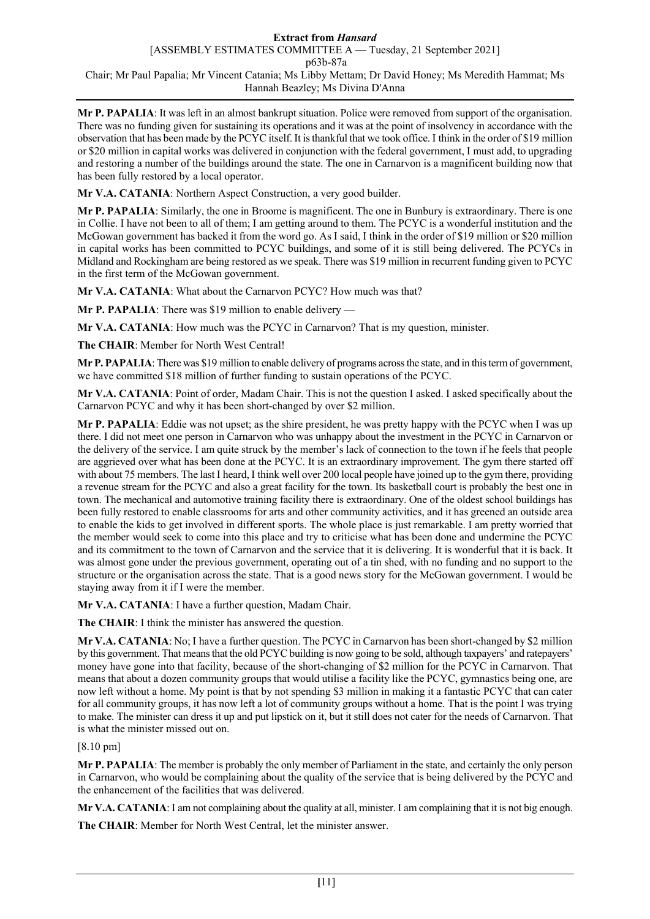**Mr P. PAPALIA**: It was left in an almost bankrupt situation. Police were removed from support of the organisation. There was no funding given for sustaining its operations and it was at the point of insolvency in accordance with the observation that has been made by the PCYC itself. It is thankful that we took office. I think in the order of \$19 million or \$20 million in capital works was delivered in conjunction with the federal government, I must add, to upgrading and restoring a number of the buildings around the state. The one in Carnarvon is a magnificent building now that has been fully restored by a local operator.

**Mr V.A. CATANIA**: Northern Aspect Construction, a very good builder.

**Mr P. PAPALIA**: Similarly, the one in Broome is magnificent. The one in Bunbury is extraordinary. There is one in Collie. I have not been to all of them; I am getting around to them. The PCYC is a wonderful institution and the McGowan government has backed it from the word go. As I said, I think in the order of \$19 million or \$20 million in capital works has been committed to PCYC buildings, and some of it is still being delivered. The PCYCs in Midland and Rockingham are being restored as we speak. There was \$19 million in recurrent funding given to PCYC in the first term of the McGowan government.

**Mr V.A. CATANIA**: What about the Carnarvon PCYC? How much was that?

**Mr P. PAPALIA**: There was \$19 million to enable delivery —

**Mr V.A. CATANIA**: How much was the PCYC in Carnarvon? That is my question, minister.

**The CHAIR**: Member for North West Central!

**Mr P. PAPALIA**: There was \$19 million to enable delivery of programs across the state, and in this term of government, we have committed \$18 million of further funding to sustain operations of the PCYC.

**Mr V.A. CATANIA**: Point of order, Madam Chair. This is not the question I asked. I asked specifically about the Carnarvon PCYC and why it has been short-changed by over \$2 million.

**Mr P. PAPALIA**: Eddie was not upset; as the shire president, he was pretty happy with the PCYC when I was up there. I did not meet one person in Carnarvon who was unhappy about the investment in the PCYC in Carnarvon or the delivery of the service. I am quite struck by the member's lack of connection to the town if he feels that people are aggrieved over what has been done at the PCYC. It is an extraordinary improvement. The gym there started off with about 75 members. The last I heard, I think well over 200 local people have joined up to the gym there, providing a revenue stream for the PCYC and also a great facility for the town. Its basketball court is probably the best one in town. The mechanical and automotive training facility there is extraordinary. One of the oldest school buildings has been fully restored to enable classrooms for arts and other community activities, and it has greened an outside area to enable the kids to get involved in different sports. The whole place is just remarkable. I am pretty worried that the member would seek to come into this place and try to criticise what has been done and undermine the PCYC and its commitment to the town of Carnarvon and the service that it is delivering. It is wonderful that it is back. It was almost gone under the previous government, operating out of a tin shed, with no funding and no support to the structure or the organisation across the state. That is a good news story for the McGowan government. I would be staying away from it if I were the member.

**Mr V.A. CATANIA**: I have a further question, Madam Chair.

**The CHAIR**: I think the minister has answered the question.

**Mr V.A. CATANIA**: No; I have a further question. The PCYC in Carnarvon has been short-changed by \$2 million by this government. That means that the old PCYC building is now going to be sold, although taxpayers' and ratepayers' money have gone into that facility, because of the short-changing of \$2 million for the PCYC in Carnarvon. That means that about a dozen community groups that would utilise a facility like the PCYC, gymnastics being one, are now left without a home. My point is that by not spending \$3 million in making it a fantastic PCYC that can cater for all community groups, it has now left a lot of community groups without a home. That is the point I was trying to make. The minister can dress it up and put lipstick on it, but it still does not cater for the needs of Carnarvon. That is what the minister missed out on.

[8.10 pm]

**Mr P. PAPALIA**: The member is probably the only member of Parliament in the state, and certainly the only person in Carnarvon, who would be complaining about the quality of the service that is being delivered by the PCYC and the enhancement of the facilities that was delivered.

**Mr V.A. CATANIA**: I am not complaining about the quality at all, minister. I am complaining that it is not big enough.

**The CHAIR**: Member for North West Central, let the minister answer.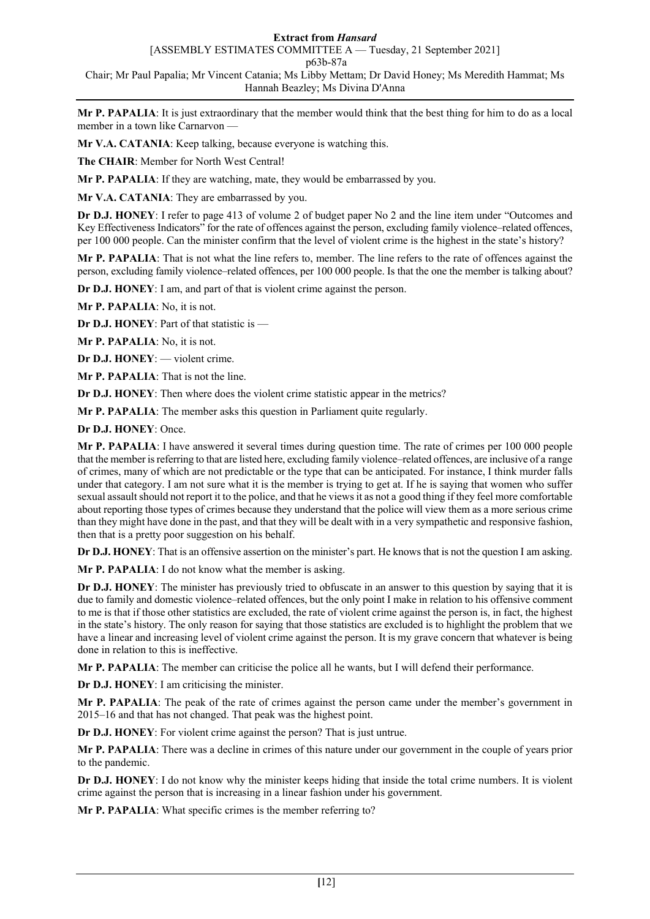## **Extract from** *Hansard*

[ASSEMBLY ESTIMATES COMMITTEE A — Tuesday, 21 September 2021] p63b-87a

Chair; Mr Paul Papalia; Mr Vincent Catania; Ms Libby Mettam; Dr David Honey; Ms Meredith Hammat; Ms Hannah Beazley; Ms Divina D'Anna

**Mr P. PAPALIA**: It is just extraordinary that the member would think that the best thing for him to do as a local member in a town like Carnarvon —

**Mr V.A. CATANIA**: Keep talking, because everyone is watching this.

**The CHAIR**: Member for North West Central!

**Mr P. PAPALIA**: If they are watching, mate, they would be embarrassed by you.

**Mr V.A. CATANIA**: They are embarrassed by you.

**Dr D.J. HONEY**: I refer to page 413 of volume 2 of budget paper No 2 and the line item under "Outcomes and Key Effectiveness Indicators" for the rate of offences against the person, excluding family violence–related offences, per 100 000 people. Can the minister confirm that the level of violent crime is the highest in the state's history?

**Mr P. PAPALIA**: That is not what the line refers to, member. The line refers to the rate of offences against the person, excluding family violence–related offences, per 100 000 people. Is that the one the member is talking about?

**Dr D.J. HONEY**: I am, and part of that is violent crime against the person.

**Mr P. PAPALIA**: No, it is not.

**Dr D.J. HONEY**: Part of that statistic is —

**Mr P. PAPALIA**: No, it is not.

**Dr D.J. HONEY**: — violent crime.

**Mr P. PAPALIA**: That is not the line.

**Dr D.J. HONEY**: Then where does the violent crime statistic appear in the metrics?

**Mr P. PAPALIA**: The member asks this question in Parliament quite regularly.

**Dr D.J. HONEY**: Once.

**Mr P. PAPALIA**: I have answered it several times during question time. The rate of crimes per 100 000 people that the member is referring to that are listed here, excluding family violence–related offences, are inclusive of a range of crimes, many of which are not predictable or the type that can be anticipated. For instance, I think murder falls under that category. I am not sure what it is the member is trying to get at. If he is saying that women who suffer sexual assault should not report it to the police, and that he views it as not a good thing if they feel more comfortable about reporting those types of crimes because they understand that the police will view them as a more serious crime than they might have done in the past, and that they will be dealt with in a very sympathetic and responsive fashion, then that is a pretty poor suggestion on his behalf.

**Dr D.J. HONEY**: That is an offensive assertion on the minister's part. He knows that is not the question I am asking.

**Mr P. PAPALIA**: I do not know what the member is asking.

**Dr D.J. HONEY**: The minister has previously tried to obfuscate in an answer to this question by saying that it is due to family and domestic violence–related offences, but the only point I make in relation to his offensive comment to me is that if those other statistics are excluded, the rate of violent crime against the person is, in fact, the highest in the state's history. The only reason for saying that those statistics are excluded is to highlight the problem that we have a linear and increasing level of violent crime against the person. It is my grave concern that whatever is being done in relation to this is ineffective.

**Mr P. PAPALIA**: The member can criticise the police all he wants, but I will defend their performance.

**Dr D.J. HONEY**: I am criticising the minister.

**Mr P. PAPALIA**: The peak of the rate of crimes against the person came under the member's government in 2015–16 and that has not changed. That peak was the highest point.

**Dr D.J. HONEY**: For violent crime against the person? That is just untrue.

**Mr P. PAPALIA**: There was a decline in crimes of this nature under our government in the couple of years prior to the pandemic.

**Dr D.J. HONEY**: I do not know why the minister keeps hiding that inside the total crime numbers. It is violent crime against the person that is increasing in a linear fashion under his government.

**Mr P. PAPALIA**: What specific crimes is the member referring to?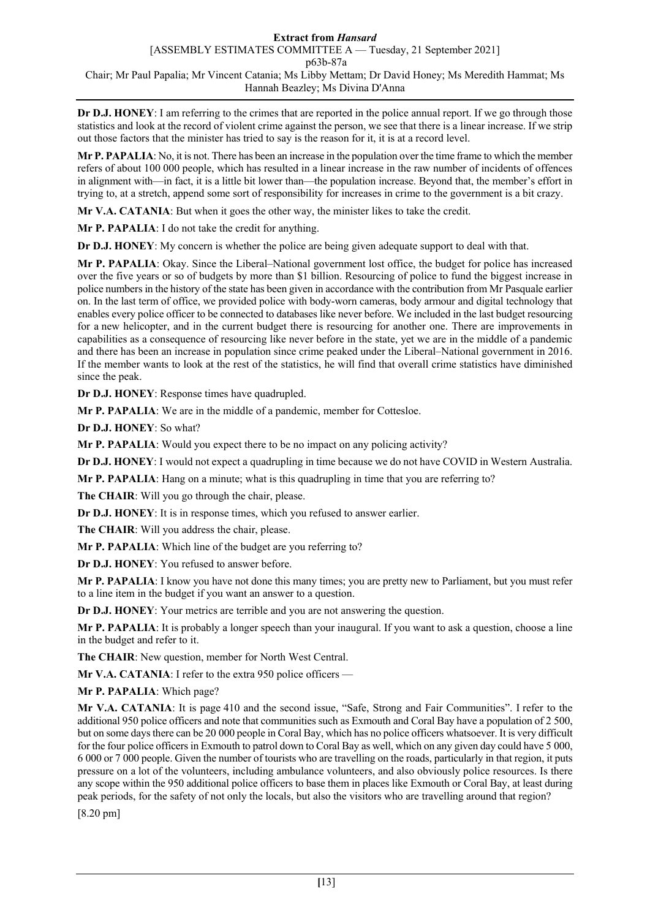**Dr D.J. HONEY**: I am referring to the crimes that are reported in the police annual report. If we go through those statistics and look at the record of violent crime against the person, we see that there is a linear increase. If we strip out those factors that the minister has tried to say is the reason for it, it is at a record level.

**Mr P. PAPALIA**: No, it is not. There has been an increase in the population over the time frame to which the member refers of about 100 000 people, which has resulted in a linear increase in the raw number of incidents of offences in alignment with—in fact, it is a little bit lower than—the population increase. Beyond that, the member's effort in trying to, at a stretch, append some sort of responsibility for increases in crime to the government is a bit crazy.

**Mr V.A. CATANIA**: But when it goes the other way, the minister likes to take the credit.

**Mr P. PAPALIA**: I do not take the credit for anything.

**Dr D.J. HONEY**: My concern is whether the police are being given adequate support to deal with that.

**Mr P. PAPALIA**: Okay. Since the Liberal–National government lost office, the budget for police has increased over the five years or so of budgets by more than \$1 billion. Resourcing of police to fund the biggest increase in police numbers in the history of the state has been given in accordance with the contribution from Mr Pasquale earlier on. In the last term of office, we provided police with body-worn cameras, body armour and digital technology that enables every police officer to be connected to databases like never before. We included in the last budget resourcing for a new helicopter, and in the current budget there is resourcing for another one. There are improvements in capabilities as a consequence of resourcing like never before in the state, yet we are in the middle of a pandemic and there has been an increase in population since crime peaked under the Liberal–National government in 2016. If the member wants to look at the rest of the statistics, he will find that overall crime statistics have diminished since the peak.

**Dr D.J. HONEY**: Response times have quadrupled.

**Mr P. PAPALIA**: We are in the middle of a pandemic, member for Cottesloe.

**Dr D.J. HONEY**: So what?

**Mr P. PAPALIA**: Would you expect there to be no impact on any policing activity?

**Dr D.J. HONEY**: I would not expect a quadrupling in time because we do not have COVID in Western Australia.

**Mr P. PAPALIA**: Hang on a minute; what is this quadrupling in time that you are referring to?

**The CHAIR**: Will you go through the chair, please.

**Dr D.J. HONEY**: It is in response times, which you refused to answer earlier.

**The CHAIR**: Will you address the chair, please.

**Mr P. PAPALIA**: Which line of the budget are you referring to?

**Dr D.J. HONEY**: You refused to answer before.

**Mr P. PAPALIA**: I know you have not done this many times; you are pretty new to Parliament, but you must refer to a line item in the budget if you want an answer to a question.

**Dr D.J. HONEY**: Your metrics are terrible and you are not answering the question.

**Mr P. PAPALIA**: It is probably a longer speech than your inaugural. If you want to ask a question, choose a line in the budget and refer to it.

**The CHAIR**: New question, member for North West Central.

**Mr V.A. CATANIA**: I refer to the extra 950 police officers —

**Mr P. PAPALIA**: Which page?

**Mr V.A. CATANIA**: It is page 410 and the second issue, "Safe, Strong and Fair Communities". I refer to the additional 950 police officers and note that communities such as Exmouth and Coral Bay have a population of 2 500, but on some days there can be 20 000 people in Coral Bay, which has no police officers whatsoever. It is very difficult for the four police officers in Exmouth to patrol down to Coral Bay as well, which on any given day could have 5 000, 6 000 or 7 000 people. Given the number of tourists who are travelling on the roads, particularly in that region, it puts pressure on a lot of the volunteers, including ambulance volunteers, and also obviously police resources. Is there any scope within the 950 additional police officers to base them in places like Exmouth or Coral Bay, at least during peak periods, for the safety of not only the locals, but also the visitors who are travelling around that region?

[8.20 pm]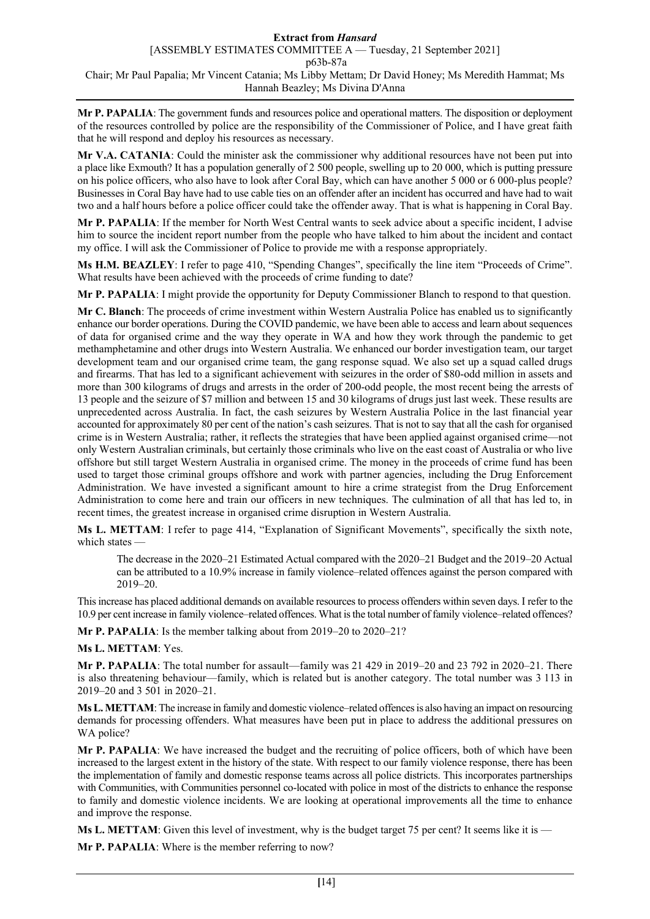**Mr P. PAPALIA**: The government funds and resources police and operational matters. The disposition or deployment of the resources controlled by police are the responsibility of the Commissioner of Police, and I have great faith that he will respond and deploy his resources as necessary.

**Mr V.A. CATANIA**: Could the minister ask the commissioner why additional resources have not been put into a place like Exmouth? It has a population generally of 2 500 people, swelling up to 20 000, which is putting pressure on his police officers, who also have to look after Coral Bay, which can have another 5 000 or 6 000-plus people? Businesses in Coral Bay have had to use cable ties on an offender after an incident has occurred and have had to wait two and a half hours before a police officer could take the offender away. That is what is happening in Coral Bay.

**Mr P. PAPALIA**: If the member for North West Central wants to seek advice about a specific incident, I advise him to source the incident report number from the people who have talked to him about the incident and contact my office. I will ask the Commissioner of Police to provide me with a response appropriately.

**Ms H.M. BEAZLEY**: I refer to page 410, "Spending Changes", specifically the line item "Proceeds of Crime". What results have been achieved with the proceeds of crime funding to date?

**Mr P. PAPALIA**: I might provide the opportunity for Deputy Commissioner Blanch to respond to that question.

**Mr C. Blanch**: The proceeds of crime investment within Western Australia Police has enabled us to significantly enhance our border operations. During the COVID pandemic, we have been able to access and learn about sequences of data for organised crime and the way they operate in WA and how they work through the pandemic to get methamphetamine and other drugs into Western Australia. We enhanced our border investigation team, our target development team and our organised crime team, the gang response squad. We also set up a squad called drugs and firearms. That has led to a significant achievement with seizures in the order of \$80-odd million in assets and more than 300 kilograms of drugs and arrests in the order of 200-odd people, the most recent being the arrests of 13 people and the seizure of \$7 million and between 15 and 30 kilograms of drugs just last week. These results are unprecedented across Australia. In fact, the cash seizures by Western Australia Police in the last financial year accounted for approximately 80 per cent of the nation's cash seizures. That is not to say that all the cash for organised crime is in Western Australia; rather, it reflects the strategies that have been applied against organised crime—not only Western Australian criminals, but certainly those criminals who live on the east coast of Australia or who live offshore but still target Western Australia in organised crime. The money in the proceeds of crime fund has been used to target those criminal groups offshore and work with partner agencies, including the Drug Enforcement Administration. We have invested a significant amount to hire a crime strategist from the Drug Enforcement Administration to come here and train our officers in new techniques. The culmination of all that has led to, in recent times, the greatest increase in organised crime disruption in Western Australia.

**Ms L. METTAM**: I refer to page 414, "Explanation of Significant Movements", specifically the sixth note, which states —

The decrease in the 2020–21 Estimated Actual compared with the 2020–21 Budget and the 2019–20 Actual can be attributed to a 10.9% increase in family violence–related offences against the person compared with 2019–20.

This increase has placed additional demands on available resources to process offenders within seven days. I refer to the 10.9 per cent increase in family violence–related offences. What is the total number of family violence–related offences?

**Mr P. PAPALIA**: Is the member talking about from 2019–20 to 2020–21?

### **Ms L. METTAM**: Yes.

**Mr P. PAPALIA**: The total number for assault—family was 21 429 in 2019–20 and 23 792 in 2020–21. There is also threatening behaviour—family, which is related but is another category. The total number was 3 113 in 2019–20 and 3 501 in 2020–21.

**Ms L. METTAM**: The increase in family and domestic violence–related offences is also having an impact on resourcing demands for processing offenders. What measures have been put in place to address the additional pressures on WA police?

**Mr P. PAPALIA**: We have increased the budget and the recruiting of police officers, both of which have been increased to the largest extent in the history of the state. With respect to our family violence response, there has been the implementation of family and domestic response teams across all police districts. This incorporates partnerships with Communities, with Communities personnel co-located with police in most of the districts to enhance the response to family and domestic violence incidents. We are looking at operational improvements all the time to enhance and improve the response.

**Ms L. METTAM**: Given this level of investment, why is the budget target 75 per cent? It seems like it is —

**Mr P. PAPALIA**: Where is the member referring to now?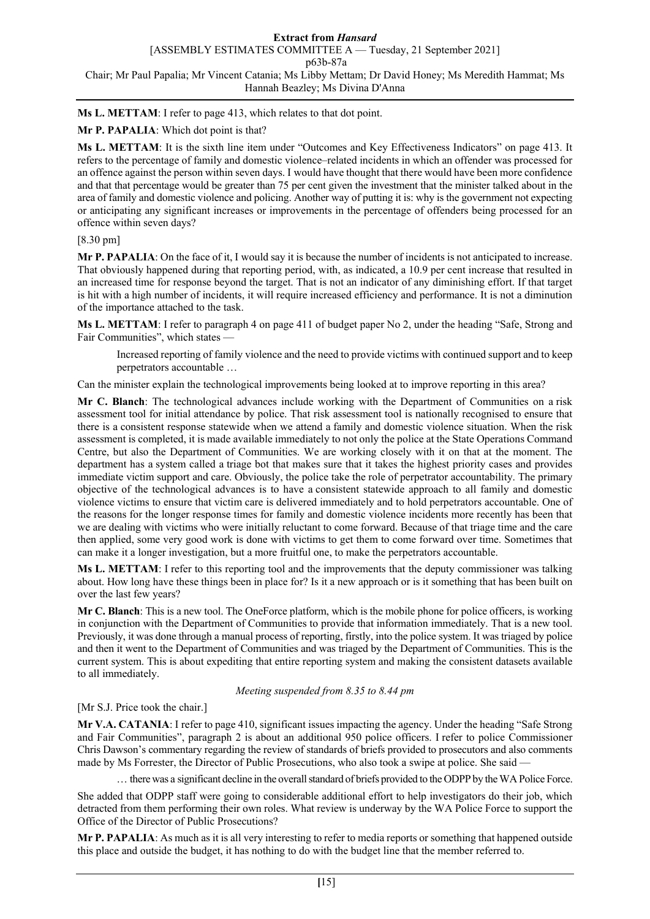**Ms L. METTAM**: I refer to page 413, which relates to that dot point.

# **Mr P. PAPALIA**: Which dot point is that?

**Ms L. METTAM**: It is the sixth line item under "Outcomes and Key Effectiveness Indicators" on page 413. It refers to the percentage of family and domestic violence–related incidents in which an offender was processed for an offence against the person within seven days. I would have thought that there would have been more confidence and that that percentage would be greater than 75 per cent given the investment that the minister talked about in the area of family and domestic violence and policing. Another way of putting it is: why is the government not expecting or anticipating any significant increases or improvements in the percentage of offenders being processed for an offence within seven days?

## [8.30 pm]

**Mr P. PAPALIA**: On the face of it, I would say it is because the number of incidents is not anticipated to increase. That obviously happened during that reporting period, with, as indicated, a 10.9 per cent increase that resulted in an increased time for response beyond the target. That is not an indicator of any diminishing effort. If that target is hit with a high number of incidents, it will require increased efficiency and performance. It is not a diminution of the importance attached to the task.

**Ms L. METTAM**: I refer to paragraph 4 on page 411 of budget paper No 2, under the heading "Safe, Strong and Fair Communities", which states —

Increased reporting of family violence and the need to provide victims with continued support and to keep perpetrators accountable …

Can the minister explain the technological improvements being looked at to improve reporting in this area?

**Mr C. Blanch**: The technological advances include working with the Department of Communities on a risk assessment tool for initial attendance by police. That risk assessment tool is nationally recognised to ensure that there is a consistent response statewide when we attend a family and domestic violence situation. When the risk assessment is completed, it is made available immediately to not only the police at the State Operations Command Centre, but also the Department of Communities. We are working closely with it on that at the moment. The department has a system called a triage bot that makes sure that it takes the highest priority cases and provides immediate victim support and care. Obviously, the police take the role of perpetrator accountability. The primary objective of the technological advances is to have a consistent statewide approach to all family and domestic violence victims to ensure that victim care is delivered immediately and to hold perpetrators accountable. One of the reasons for the longer response times for family and domestic violence incidents more recently has been that we are dealing with victims who were initially reluctant to come forward. Because of that triage time and the care then applied, some very good work is done with victims to get them to come forward over time. Sometimes that can make it a longer investigation, but a more fruitful one, to make the perpetrators accountable.

**Ms L. METTAM**: I refer to this reporting tool and the improvements that the deputy commissioner was talking about. How long have these things been in place for? Is it a new approach or is it something that has been built on over the last few years?

**Mr C. Blanch**: This is a new tool. The OneForce platform, which is the mobile phone for police officers, is working in conjunction with the Department of Communities to provide that information immediately. That is a new tool. Previously, it was done through a manual process of reporting, firstly, into the police system. It was triaged by police and then it went to the Department of Communities and was triaged by the Department of Communities. This is the current system. This is about expediting that entire reporting system and making the consistent datasets available to all immediately.

### *Meeting suspended from 8.35 to 8.44 pm*

## [Mr S.J. Price took the chair.]

**Mr V.A. CATANIA**: I refer to page 410, significant issues impacting the agency. Under the heading "Safe Strong and Fair Communities", paragraph 2 is about an additional 950 police officers. I refer to police Commissioner Chris Dawson's commentary regarding the review of standards of briefs provided to prosecutors and also comments made by Ms Forrester, the Director of Public Prosecutions, who also took a swipe at police. She said —

… there was a significant decline in the overall standard of briefs provided to the ODPP by the WA Police Force.

She added that ODPP staff were going to considerable additional effort to help investigators do their job, which detracted from them performing their own roles. What review is underway by the WA Police Force to support the Office of the Director of Public Prosecutions?

**Mr P. PAPALIA**: As much as it is all very interesting to refer to media reports or something that happened outside this place and outside the budget, it has nothing to do with the budget line that the member referred to.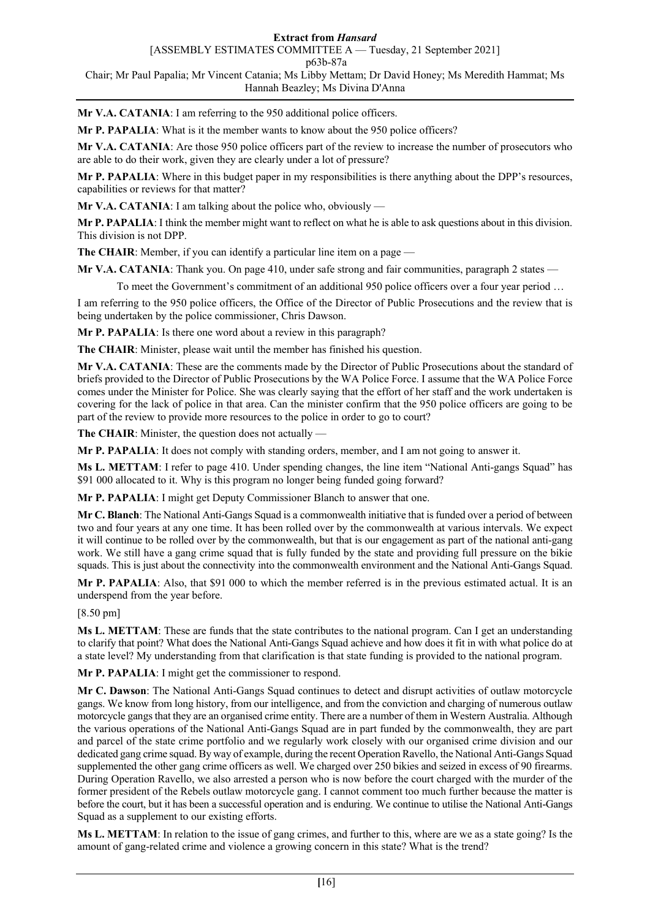## **Extract from** *Hansard*

[ASSEMBLY ESTIMATES COMMITTEE A — Tuesday, 21 September 2021]

p63b-87a

Chair; Mr Paul Papalia; Mr Vincent Catania; Ms Libby Mettam; Dr David Honey; Ms Meredith Hammat; Ms Hannah Beazley; Ms Divina D'Anna

**Mr V.A. CATANIA**: I am referring to the 950 additional police officers.

**Mr P. PAPALIA**: What is it the member wants to know about the 950 police officers?

**Mr V.A. CATANIA**: Are those 950 police officers part of the review to increase the number of prosecutors who are able to do their work, given they are clearly under a lot of pressure?

**Mr P. PAPALIA**: Where in this budget paper in my responsibilities is there anything about the DPP's resources, capabilities or reviews for that matter?

**Mr V.A. CATANIA**: I am talking about the police who, obviously —

**Mr P. PAPALIA**: I think the member might want to reflect on what he is able to ask questions about in this division. This division is not DPP.

**The CHAIR**: Member, if you can identify a particular line item on a page —

**Mr V.A. CATANIA**: Thank you. On page 410, under safe strong and fair communities, paragraph 2 states —

To meet the Government's commitment of an additional 950 police officers over a four year period …

I am referring to the 950 police officers, the Office of the Director of Public Prosecutions and the review that is being undertaken by the police commissioner, Chris Dawson.

**Mr P. PAPALIA**: Is there one word about a review in this paragraph?

**The CHAIR**: Minister, please wait until the member has finished his question.

**Mr V.A. CATANIA**: These are the comments made by the Director of Public Prosecutions about the standard of briefs provided to the Director of Public Prosecutions by the WA Police Force. I assume that the WA Police Force comes under the Minister for Police. She was clearly saying that the effort of her staff and the work undertaken is covering for the lack of police in that area. Can the minister confirm that the 950 police officers are going to be part of the review to provide more resources to the police in order to go to court?

**The CHAIR**: Minister, the question does not actually —

**Mr P. PAPALIA**: It does not comply with standing orders, member, and I am not going to answer it.

**Ms L. METTAM**: I refer to page 410. Under spending changes, the line item "National Anti-gangs Squad" has \$91 000 allocated to it. Why is this program no longer being funded going forward?

**Mr P. PAPALIA**: I might get Deputy Commissioner Blanch to answer that one.

**Mr C. Blanch**: The National Anti-Gangs Squad is a commonwealth initiative that is funded over a period of between two and four years at any one time. It has been rolled over by the commonwealth at various intervals. We expect it will continue to be rolled over by the commonwealth, but that is our engagement as part of the national anti-gang work. We still have a gang crime squad that is fully funded by the state and providing full pressure on the bikie squads. This is just about the connectivity into the commonwealth environment and the National Anti-Gangs Squad.

**Mr P. PAPALIA**: Also, that \$91 000 to which the member referred is in the previous estimated actual. It is an underspend from the year before.

[8.50 pm]

**Ms L. METTAM**: These are funds that the state contributes to the national program. Can I get an understanding to clarify that point? What does the National Anti-Gangs Squad achieve and how does it fit in with what police do at a state level? My understanding from that clarification is that state funding is provided to the national program.

**Mr P. PAPALIA**: I might get the commissioner to respond.

**Mr C. Dawson**: The National Anti-Gangs Squad continues to detect and disrupt activities of outlaw motorcycle gangs. We know from long history, from our intelligence, and from the conviction and charging of numerous outlaw motorcycle gangs that they are an organised crime entity. There are a number of them in Western Australia. Although the various operations of the National Anti-Gangs Squad are in part funded by the commonwealth, they are part and parcel of the state crime portfolio and we regularly work closely with our organised crime division and our dedicated gang crime squad. By way of example, during the recent Operation Ravello, the National Anti-Gangs Squad supplemented the other gang crime officers as well. We charged over 250 bikies and seized in excess of 90 firearms. During Operation Ravello, we also arrested a person who is now before the court charged with the murder of the former president of the Rebels outlaw motorcycle gang. I cannot comment too much further because the matter is before the court, but it has been a successful operation and is enduring. We continue to utilise the National Anti-Gangs Squad as a supplement to our existing efforts.

**Ms L. METTAM**: In relation to the issue of gang crimes, and further to this, where are we as a state going? Is the amount of gang-related crime and violence a growing concern in this state? What is the trend?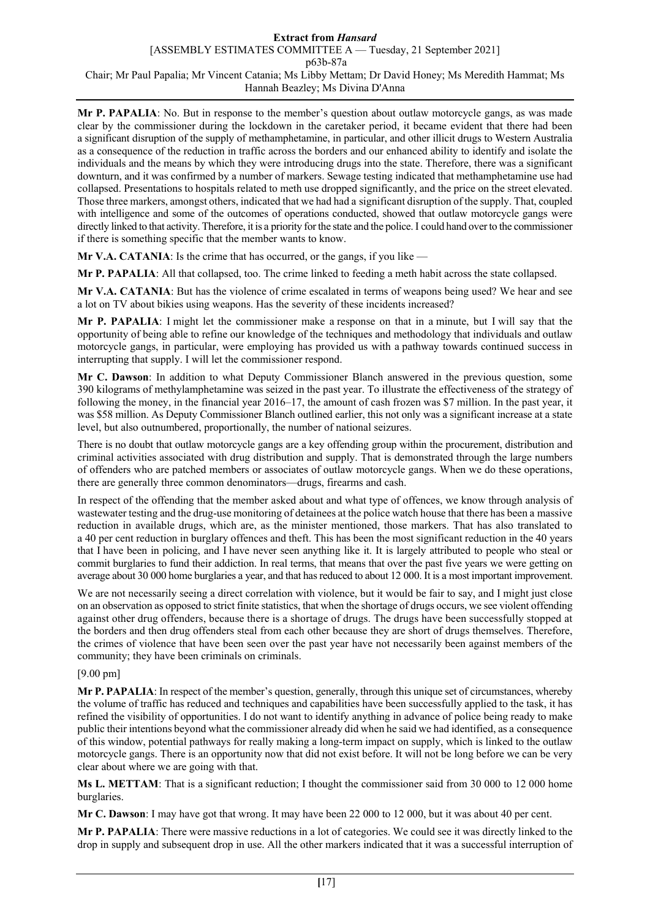**Mr P. PAPALIA**: No. But in response to the member's question about outlaw motorcycle gangs, as was made clear by the commissioner during the lockdown in the caretaker period, it became evident that there had been a significant disruption of the supply of methamphetamine, in particular, and other illicit drugs to Western Australia as a consequence of the reduction in traffic across the borders and our enhanced ability to identify and isolate the individuals and the means by which they were introducing drugs into the state. Therefore, there was a significant downturn, and it was confirmed by a number of markers. Sewage testing indicated that methamphetamine use had collapsed. Presentations to hospitals related to meth use dropped significantly, and the price on the street elevated. Those three markers, amongst others, indicated that we had had a significant disruption of the supply. That, coupled with intelligence and some of the outcomes of operations conducted, showed that outlaw motorcycle gangs were directly linked to that activity. Therefore, it is a priority for the state and the police.I could hand over to the commissioner if there is something specific that the member wants to know.

**Mr V.A. CATANIA:** Is the crime that has occurred, or the gangs, if you like —

**Mr P. PAPALIA**: All that collapsed, too. The crime linked to feeding a meth habit across the state collapsed.

**Mr V.A. CATANIA**: But has the violence of crime escalated in terms of weapons being used? We hear and see a lot on TV about bikies using weapons. Has the severity of these incidents increased?

**Mr P. PAPALIA**: I might let the commissioner make a response on that in a minute, but I will say that the opportunity of being able to refine our knowledge of the techniques and methodology that individuals and outlaw motorcycle gangs, in particular, were employing has provided us with a pathway towards continued success in interrupting that supply. I will let the commissioner respond.

**Mr C. Dawson**: In addition to what Deputy Commissioner Blanch answered in the previous question, some 390 kilograms of methylamphetamine was seized in the past year. To illustrate the effectiveness of the strategy of following the money, in the financial year 2016–17, the amount of cash frozen was \$7 million. In the past year, it was \$58 million. As Deputy Commissioner Blanch outlined earlier, this not only was a significant increase at a state level, but also outnumbered, proportionally, the number of national seizures.

There is no doubt that outlaw motorcycle gangs are a key offending group within the procurement, distribution and criminal activities associated with drug distribution and supply. That is demonstrated through the large numbers of offenders who are patched members or associates of outlaw motorcycle gangs. When we do these operations, there are generally three common denominators—drugs, firearms and cash.

In respect of the offending that the member asked about and what type of offences, we know through analysis of wastewater testing and the drug-use monitoring of detainees at the police watch house that there has been a massive reduction in available drugs, which are, as the minister mentioned, those markers. That has also translated to a 40 per cent reduction in burglary offences and theft. This has been the most significant reduction in the 40 years that I have been in policing, and I have never seen anything like it. It is largely attributed to people who steal or commit burglaries to fund their addiction. In real terms, that means that over the past five years we were getting on average about 30 000 home burglaries a year, and that has reduced to about 12 000. It is a most important improvement.

We are not necessarily seeing a direct correlation with violence, but it would be fair to say, and I might just close on an observation as opposed to strict finite statistics, that when the shortage of drugs occurs, we see violent offending against other drug offenders, because there is a shortage of drugs. The drugs have been successfully stopped at the borders and then drug offenders steal from each other because they are short of drugs themselves. Therefore, the crimes of violence that have been seen over the past year have not necessarily been against members of the community; they have been criminals on criminals.

## [9.00 pm]

**Mr P. PAPALIA**: In respect of the member's question, generally, through this unique set of circumstances, whereby the volume of traffic has reduced and techniques and capabilities have been successfully applied to the task, it has refined the visibility of opportunities. I do not want to identify anything in advance of police being ready to make public their intentions beyond what the commissioner already did when he said we had identified, as a consequence of this window, potential pathways for really making a long-term impact on supply, which is linked to the outlaw motorcycle gangs. There is an opportunity now that did not exist before. It will not be long before we can be very clear about where we are going with that.

**Ms L. METTAM**: That is a significant reduction; I thought the commissioner said from 30 000 to 12 000 home burglaries.

**Mr C. Dawson**: I may have got that wrong. It may have been 22 000 to 12 000, but it was about 40 per cent.

**Mr P. PAPALIA**: There were massive reductions in a lot of categories. We could see it was directly linked to the drop in supply and subsequent drop in use. All the other markers indicated that it was a successful interruption of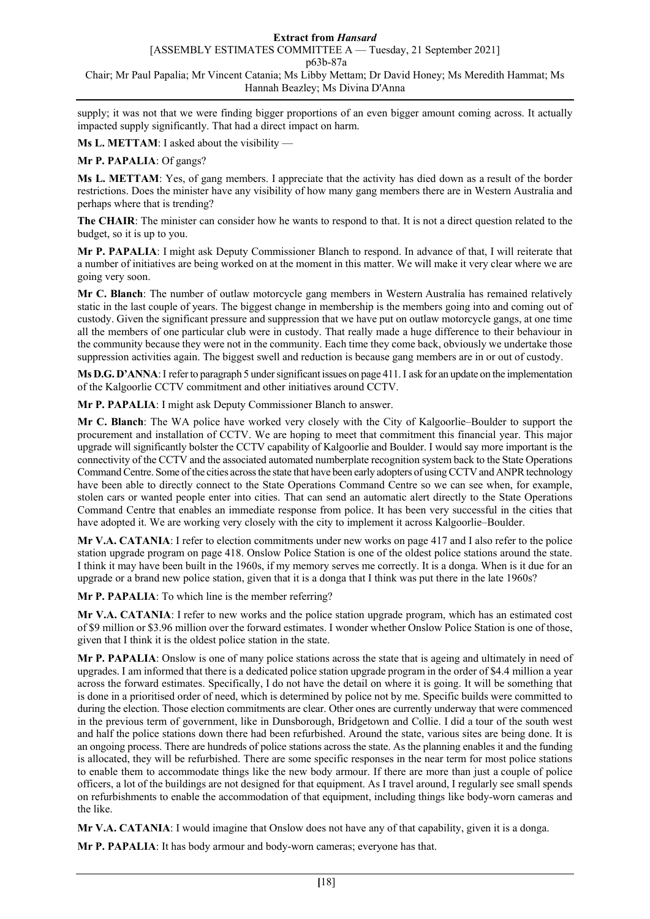## **Extract from** *Hansard*

[ASSEMBLY ESTIMATES COMMITTEE A — Tuesday, 21 September 2021]

p63b-87a

## Chair; Mr Paul Papalia; Mr Vincent Catania; Ms Libby Mettam; Dr David Honey; Ms Meredith Hammat; Ms Hannah Beazley; Ms Divina D'Anna

supply; it was not that we were finding bigger proportions of an even bigger amount coming across. It actually impacted supply significantly. That had a direct impact on harm.

**Ms L. METTAM**: I asked about the visibility —

## **Mr P. PAPALIA**: Of gangs?

**Ms L. METTAM**: Yes, of gang members. I appreciate that the activity has died down as a result of the border restrictions. Does the minister have any visibility of how many gang members there are in Western Australia and perhaps where that is trending?

**The CHAIR**: The minister can consider how he wants to respond to that. It is not a direct question related to the budget, so it is up to you.

**Mr P. PAPALIA**: I might ask Deputy Commissioner Blanch to respond. In advance of that, I will reiterate that a number of initiatives are being worked on at the moment in this matter. We will make it very clear where we are going very soon.

**Mr C. Blanch**: The number of outlaw motorcycle gang members in Western Australia has remained relatively static in the last couple of years. The biggest change in membership is the members going into and coming out of custody. Given the significant pressure and suppression that we have put on outlaw motorcycle gangs, at one time all the members of one particular club were in custody. That really made a huge difference to their behaviour in the community because they were not in the community. Each time they come back, obviously we undertake those suppression activities again. The biggest swell and reduction is because gang members are in or out of custody.

**Ms D.G. D'ANNA**:I refer to paragraph 5 under significant issues on page 411.I ask for an update on the implementation of the Kalgoorlie CCTV commitment and other initiatives around CCTV.

**Mr P. PAPALIA**: I might ask Deputy Commissioner Blanch to answer.

**Mr C. Blanch**: The WA police have worked very closely with the City of Kalgoorlie–Boulder to support the procurement and installation of CCTV. We are hoping to meet that commitment this financial year. This major upgrade will significantly bolster the CCTV capability of Kalgoorlie and Boulder. I would say more important is the connectivity of the CCTV and the associated automated numberplate recognition system back to the State Operations Command Centre. Some of the cities across the state that have been early adopters of using CCTV and ANPR technology have been able to directly connect to the State Operations Command Centre so we can see when, for example, stolen cars or wanted people enter into cities. That can send an automatic alert directly to the State Operations Command Centre that enables an immediate response from police. It has been very successful in the cities that have adopted it. We are working very closely with the city to implement it across Kalgoorlie–Boulder.

**Mr V.A. CATANIA**: I refer to election commitments under new works on page 417 and I also refer to the police station upgrade program on page 418. Onslow Police Station is one of the oldest police stations around the state. I think it may have been built in the 1960s, if my memory serves me correctly. It is a donga. When is it due for an upgrade or a brand new police station, given that it is a donga that I think was put there in the late 1960s?

**Mr P. PAPALIA**: To which line is the member referring?

**Mr V.A. CATANIA**: I refer to new works and the police station upgrade program, which has an estimated cost of \$9 million or \$3.96 million over the forward estimates. I wonder whether Onslow Police Station is one of those, given that I think it is the oldest police station in the state.

**Mr P. PAPALIA**: Onslow is one of many police stations across the state that is ageing and ultimately in need of upgrades. I am informed that there is a dedicated police station upgrade program in the order of \$4.4 million a year across the forward estimates. Specifically, I do not have the detail on where it is going. It will be something that is done in a prioritised order of need, which is determined by police not by me. Specific builds were committed to during the election. Those election commitments are clear. Other ones are currently underway that were commenced in the previous term of government, like in Dunsborough, Bridgetown and Collie. I did a tour of the south west and half the police stations down there had been refurbished. Around the state, various sites are being done. It is an ongoing process. There are hundreds of police stations across the state. As the planning enables it and the funding is allocated, they will be refurbished. There are some specific responses in the near term for most police stations to enable them to accommodate things like the new body armour. If there are more than just a couple of police officers, a lot of the buildings are not designed for that equipment. As I travel around, I regularly see small spends on refurbishments to enable the accommodation of that equipment, including things like body-worn cameras and the like.

**Mr V.A. CATANIA**: I would imagine that Onslow does not have any of that capability, given it is a donga.

**Mr P. PAPALIA**: It has body armour and body-worn cameras; everyone has that.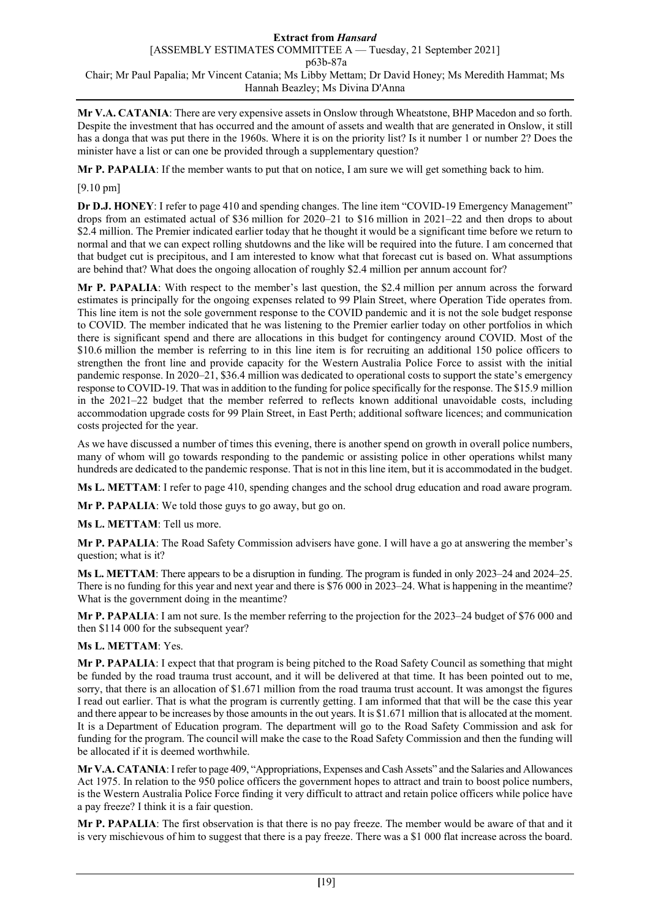**Mr V.A. CATANIA**: There are very expensive assets in Onslow through Wheatstone, BHP Macedon and so forth. Despite the investment that has occurred and the amount of assets and wealth that are generated in Onslow, it still has a donga that was put there in the 1960s. Where it is on the priority list? Is it number 1 or number 2? Does the minister have a list or can one be provided through a supplementary question?

**Mr P. PAPALIA**: If the member wants to put that on notice, I am sure we will get something back to him.

## [9.10 pm]

**Dr D.J. HONEY**: I refer to page 410 and spending changes. The line item "COVID-19 Emergency Management" drops from an estimated actual of \$36 million for 2020–21 to \$16 million in 2021–22 and then drops to about \$2.4 million. The Premier indicated earlier today that he thought it would be a significant time before we return to normal and that we can expect rolling shutdowns and the like will be required into the future. I am concerned that that budget cut is precipitous, and I am interested to know what that forecast cut is based on. What assumptions are behind that? What does the ongoing allocation of roughly \$2.4 million per annum account for?

**Mr P. PAPALIA**: With respect to the member's last question, the \$2.4 million per annum across the forward estimates is principally for the ongoing expenses related to 99 Plain Street, where Operation Tide operates from. This line item is not the sole government response to the COVID pandemic and it is not the sole budget response to COVID. The member indicated that he was listening to the Premier earlier today on other portfolios in which there is significant spend and there are allocations in this budget for contingency around COVID. Most of the \$10.6 million the member is referring to in this line item is for recruiting an additional 150 police officers to strengthen the front line and provide capacity for the Western Australia Police Force to assist with the initial pandemic response. In 2020–21, \$36.4 million was dedicated to operational costs to support the state's emergency response to COVID-19. That was in addition to the funding for police specifically for the response. The \$15.9 million in the 2021–22 budget that the member referred to reflects known additional unavoidable costs, including accommodation upgrade costs for 99 Plain Street, in East Perth; additional software licences; and communication costs projected for the year.

As we have discussed a number of times this evening, there is another spend on growth in overall police numbers, many of whom will go towards responding to the pandemic or assisting police in other operations whilst many hundreds are dedicated to the pandemic response. That is not in this line item, but it is accommodated in the budget.

**Ms L. METTAM**: I refer to page 410, spending changes and the school drug education and road aware program.

**Mr P. PAPALIA**: We told those guys to go away, but go on.

**Ms L. METTAM**: Tell us more.

Mr P. PAPALIA: The Road Safety Commission advisers have gone. I will have a go at answering the member's question; what is it?

**Ms L. METTAM**: There appears to be a disruption in funding. The program is funded in only 2023–24 and 2024–25. There is no funding for this year and next year and there is \$76 000 in 2023–24. What is happening in the meantime? What is the government doing in the meantime?

**Mr P. PAPALIA**: I am not sure. Is the member referring to the projection for the 2023–24 budget of \$76 000 and then \$114 000 for the subsequent year?

## **Ms L. METTAM**: Yes.

**Mr P. PAPALIA**: I expect that that program is being pitched to the Road Safety Council as something that might be funded by the road trauma trust account, and it will be delivered at that time. It has been pointed out to me, sorry, that there is an allocation of \$1.671 million from the road trauma trust account. It was amongst the figures I read out earlier. That is what the program is currently getting. I am informed that that will be the case this year and there appear to be increases by those amounts in the out years. It is \$1.671 million that is allocated at the moment. It is a Department of Education program. The department will go to the Road Safety Commission and ask for funding for the program. The council will make the case to the Road Safety Commission and then the funding will be allocated if it is deemed worthwhile.

**Mr V.A. CATANIA**:I refer to page 409, "Appropriations, Expenses and Cash Assets" and the Salaries and Allowances Act 1975. In relation to the 950 police officers the government hopes to attract and train to boost police numbers, is the Western Australia Police Force finding it very difficult to attract and retain police officers while police have a pay freeze? I think it is a fair question.

**Mr P. PAPALIA**: The first observation is that there is no pay freeze. The member would be aware of that and it is very mischievous of him to suggest that there is a pay freeze. There was a \$1 000 flat increase across the board.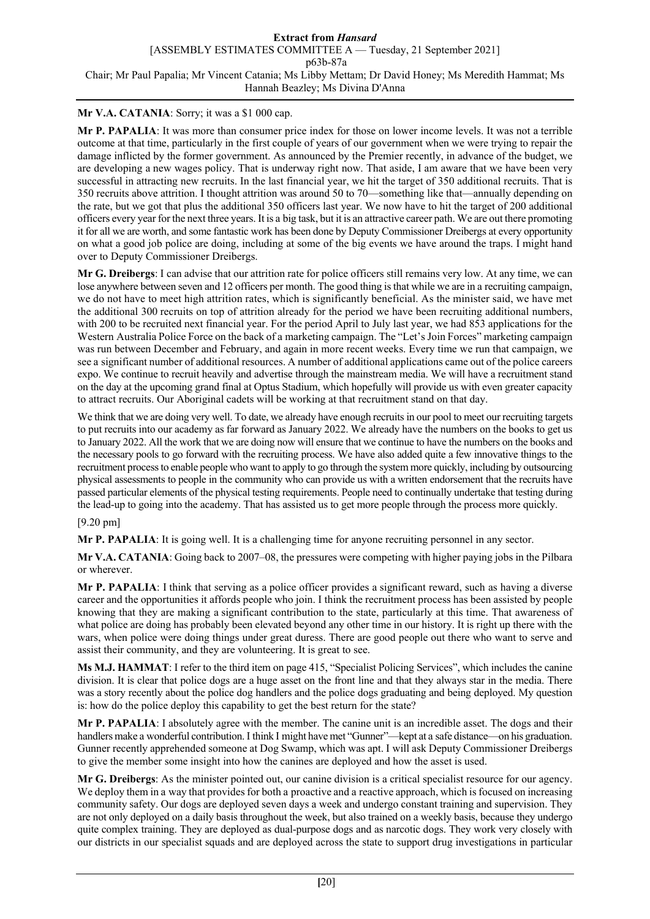# **Mr V.A. CATANIA**: Sorry; it was a \$1 000 cap.

**Mr P. PAPALIA**: It was more than consumer price index for those on lower income levels. It was not a terrible outcome at that time, particularly in the first couple of years of our government when we were trying to repair the damage inflicted by the former government. As announced by the Premier recently, in advance of the budget, we are developing a new wages policy. That is underway right now. That aside, I am aware that we have been very successful in attracting new recruits. In the last financial year, we hit the target of 350 additional recruits. That is 350 recruits above attrition. I thought attrition was around 50 to 70—something like that—annually depending on the rate, but we got that plus the additional 350 officers last year. We now have to hit the target of 200 additional officers every year for the next three years. It is a big task, but it is an attractive career path. We are out there promoting it for all we are worth, and some fantastic work has been done by Deputy Commissioner Dreibergs at every opportunity on what a good job police are doing, including at some of the big events we have around the traps. I might hand over to Deputy Commissioner Dreibergs.

**Mr G. Dreibergs**: I can advise that our attrition rate for police officers still remains very low. At any time, we can lose anywhere between seven and 12 officers per month. The good thing is that while we are in a recruiting campaign, we do not have to meet high attrition rates, which is significantly beneficial. As the minister said, we have met the additional 300 recruits on top of attrition already for the period we have been recruiting additional numbers, with 200 to be recruited next financial year. For the period April to July last year, we had 853 applications for the Western Australia Police Force on the back of a marketing campaign. The "Let's Join Forces" marketing campaign was run between December and February, and again in more recent weeks. Every time we run that campaign, we see a significant number of additional resources. A number of additional applications came out of the police careers expo. We continue to recruit heavily and advertise through the mainstream media. We will have a recruitment stand on the day at the upcoming grand final at Optus Stadium, which hopefully will provide us with even greater capacity to attract recruits. Our Aboriginal cadets will be working at that recruitment stand on that day.

We think that we are doing very well. To date, we already have enough recruits in our pool to meet our recruiting targets to put recruits into our academy as far forward as January 2022. We already have the numbers on the books to get us to January 2022. All the work that we are doing now will ensure that we continue to have the numbers on the books and the necessary pools to go forward with the recruiting process. We have also added quite a few innovative things to the recruitment process to enable people who want to apply to go through the system more quickly, including by outsourcing physical assessments to people in the community who can provide us with a written endorsement that the recruits have passed particular elements of the physical testing requirements. People need to continually undertake that testing during the lead-up to going into the academy. That has assisted us to get more people through the process more quickly.

### [9.20 pm]

**Mr P. PAPALIA**: It is going well. It is a challenging time for anyone recruiting personnel in any sector.

**Mr V.A. CATANIA**: Going back to 2007–08, the pressures were competing with higher paying jobs in the Pilbara or wherever.

**Mr P. PAPALIA**: I think that serving as a police officer provides a significant reward, such as having a diverse career and the opportunities it affords people who join. I think the recruitment process has been assisted by people knowing that they are making a significant contribution to the state, particularly at this time. That awareness of what police are doing has probably been elevated beyond any other time in our history. It is right up there with the wars, when police were doing things under great duress. There are good people out there who want to serve and assist their community, and they are volunteering. It is great to see.

**Ms M.J. HAMMAT**: I refer to the third item on page 415, "Specialist Policing Services", which includes the canine division. It is clear that police dogs are a huge asset on the front line and that they always star in the media. There was a story recently about the police dog handlers and the police dogs graduating and being deployed. My question is: how do the police deploy this capability to get the best return for the state?

**Mr P. PAPALIA**: I absolutely agree with the member. The canine unit is an incredible asset. The dogs and their handlers make a wonderful contribution. I think I might have met "Gunner"—kept at a safe distance—on his graduation. Gunner recently apprehended someone at Dog Swamp, which was apt. I will ask Deputy Commissioner Dreibergs to give the member some insight into how the canines are deployed and how the asset is used.

**Mr G. Dreibergs**: As the minister pointed out, our canine division is a critical specialist resource for our agency. We deploy them in a way that provides for both a proactive and a reactive approach, which is focused on increasing community safety. Our dogs are deployed seven days a week and undergo constant training and supervision. They are not only deployed on a daily basis throughout the week, but also trained on a weekly basis, because they undergo quite complex training. They are deployed as dual-purpose dogs and as narcotic dogs. They work very closely with our districts in our specialist squads and are deployed across the state to support drug investigations in particular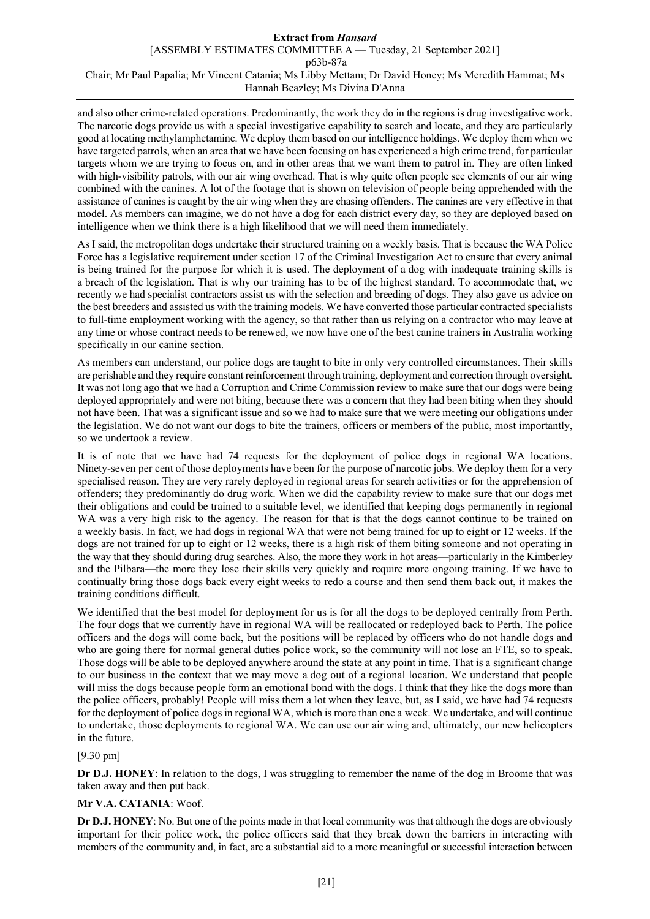and also other crime-related operations. Predominantly, the work they do in the regions is drug investigative work. The narcotic dogs provide us with a special investigative capability to search and locate, and they are particularly good at locating methylamphetamine. We deploy them based on our intelligence holdings. We deploy them when we have targeted patrols, when an area that we have been focusing on has experienced a high crime trend, for particular targets whom we are trying to focus on, and in other areas that we want them to patrol in. They are often linked with high-visibility patrols, with our air wing overhead. That is why quite often people see elements of our air wing combined with the canines. A lot of the footage that is shown on television of people being apprehended with the assistance of canines is caught by the air wing when they are chasing offenders. The canines are very effective in that model. As members can imagine, we do not have a dog for each district every day, so they are deployed based on intelligence when we think there is a high likelihood that we will need them immediately.

As I said, the metropolitan dogs undertake their structured training on a weekly basis. That is because the WA Police Force has a legislative requirement under section 17 of the Criminal Investigation Act to ensure that every animal is being trained for the purpose for which it is used. The deployment of a dog with inadequate training skills is a breach of the legislation. That is why our training has to be of the highest standard. To accommodate that, we recently we had specialist contractors assist us with the selection and breeding of dogs. They also gave us advice on the best breeders and assisted us with the training models. We have converted those particular contracted specialists to full-time employment working with the agency, so that rather than us relying on a contractor who may leave at any time or whose contract needs to be renewed, we now have one of the best canine trainers in Australia working specifically in our canine section.

As members can understand, our police dogs are taught to bite in only very controlled circumstances. Their skills are perishable and they require constant reinforcement through training, deployment and correction through oversight. It was not long ago that we had a Corruption and Crime Commission review to make sure that our dogs were being deployed appropriately and were not biting, because there was a concern that they had been biting when they should not have been. That was a significant issue and so we had to make sure that we were meeting our obligations under the legislation. We do not want our dogs to bite the trainers, officers or members of the public, most importantly, so we undertook a review.

It is of note that we have had 74 requests for the deployment of police dogs in regional WA locations. Ninety-seven per cent of those deployments have been for the purpose of narcotic jobs. We deploy them for a very specialised reason. They are very rarely deployed in regional areas for search activities or for the apprehension of offenders; they predominantly do drug work. When we did the capability review to make sure that our dogs met their obligations and could be trained to a suitable level, we identified that keeping dogs permanently in regional WA was a very high risk to the agency. The reason for that is that the dogs cannot continue to be trained on a weekly basis. In fact, we had dogs in regional WA that were not being trained for up to eight or 12 weeks. If the dogs are not trained for up to eight or 12 weeks, there is a high risk of them biting someone and not operating in the way that they should during drug searches. Also, the more they work in hot areas—particularly in the Kimberley and the Pilbara—the more they lose their skills very quickly and require more ongoing training. If we have to continually bring those dogs back every eight weeks to redo a course and then send them back out, it makes the training conditions difficult.

We identified that the best model for deployment for us is for all the dogs to be deployed centrally from Perth. The four dogs that we currently have in regional WA will be reallocated or redeployed back to Perth. The police officers and the dogs will come back, but the positions will be replaced by officers who do not handle dogs and who are going there for normal general duties police work, so the community will not lose an FTE, so to speak. Those dogs will be able to be deployed anywhere around the state at any point in time. That is a significant change to our business in the context that we may move a dog out of a regional location. We understand that people will miss the dogs because people form an emotional bond with the dogs. I think that they like the dogs more than the police officers, probably! People will miss them a lot when they leave, but, as I said, we have had 74 requests for the deployment of police dogs in regional WA, which is more than one a week. We undertake, and will continue to undertake, those deployments to regional WA. We can use our air wing and, ultimately, our new helicopters in the future.

## [9.30 pm]

**Dr D.J. HONEY**: In relation to the dogs, I was struggling to remember the name of the dog in Broome that was taken away and then put back.

## **Mr V.A. CATANIA**: Woof.

**Dr D.J. HONEY**: No. But one of the points made in that local community was that although the dogs are obviously important for their police work, the police officers said that they break down the barriers in interacting with members of the community and, in fact, are a substantial aid to a more meaningful or successful interaction between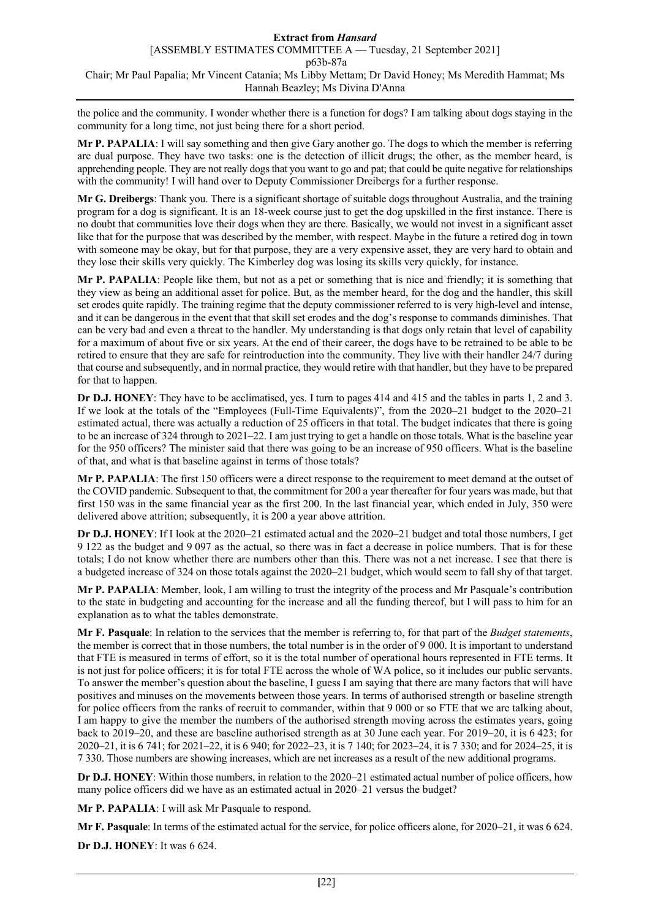the police and the community. I wonder whether there is a function for dogs? I am talking about dogs staying in the community for a long time, not just being there for a short period.

**Mr P. PAPALIA**: I will say something and then give Gary another go. The dogs to which the member is referring are dual purpose. They have two tasks: one is the detection of illicit drugs; the other, as the member heard, is apprehending people. They are not really dogs that you want to go and pat; that could be quite negative for relationships with the community! I will hand over to Deputy Commissioner Dreibergs for a further response.

**Mr G. Dreibergs**: Thank you. There is a significant shortage of suitable dogs throughout Australia, and the training program for a dog is significant. It is an 18-week course just to get the dog upskilled in the first instance. There is no doubt that communities love their dogs when they are there. Basically, we would not invest in a significant asset like that for the purpose that was described by the member, with respect. Maybe in the future a retired dog in town with someone may be okay, but for that purpose, they are a very expensive asset, they are very hard to obtain and they lose their skills very quickly. The Kimberley dog was losing its skills very quickly, for instance.

**Mr P. PAPALIA**: People like them, but not as a pet or something that is nice and friendly; it is something that they view as being an additional asset for police. But, as the member heard, for the dog and the handler, this skill set erodes quite rapidly. The training regime that the deputy commissioner referred to is very high-level and intense, and it can be dangerous in the event that that skill set erodes and the dog's response to commands diminishes. That can be very bad and even a threat to the handler. My understanding is that dogs only retain that level of capability for a maximum of about five or six years. At the end of their career, the dogs have to be retrained to be able to be retired to ensure that they are safe for reintroduction into the community. They live with their handler 24/7 during that course and subsequently, and in normal practice, they would retire with that handler, but they have to be prepared for that to happen.

**Dr D.J. HONEY**: They have to be acclimatised, yes. I turn to pages 414 and 415 and the tables in parts 1, 2 and 3. If we look at the totals of the "Employees (Full-Time Equivalents)", from the 2020–21 budget to the 2020–21 estimated actual, there was actually a reduction of 25 officers in that total. The budget indicates that there is going to be an increase of 324 through to 2021–22. I am just trying to get a handle on those totals. What is the baseline year for the 950 officers? The minister said that there was going to be an increase of 950 officers. What is the baseline of that, and what is that baseline against in terms of those totals?

**Mr P. PAPALIA**: The first 150 officers were a direct response to the requirement to meet demand at the outset of the COVID pandemic. Subsequent to that, the commitment for 200 a year thereafter for four years was made, but that first 150 was in the same financial year as the first 200. In the last financial year, which ended in July, 350 were delivered above attrition; subsequently, it is 200 a year above attrition.

**Dr D.J. HONEY**: If I look at the 2020–21 estimated actual and the 2020–21 budget and total those numbers, I get 9 122 as the budget and 9 097 as the actual, so there was in fact a decrease in police numbers. That is for these totals; I do not know whether there are numbers other than this. There was not a net increase. I see that there is a budgeted increase of 324 on those totals against the 2020–21 budget, which would seem to fall shy of that target.

**Mr P. PAPALIA**: Member, look, I am willing to trust the integrity of the process and Mr Pasquale's contribution to the state in budgeting and accounting for the increase and all the funding thereof, but I will pass to him for an explanation as to what the tables demonstrate.

**Mr F. Pasquale**: In relation to the services that the member is referring to, for that part of the *Budget statements*, the member is correct that in those numbers, the total number is in the order of 9 000. It is important to understand that FTE is measured in terms of effort, so it is the total number of operational hours represented in FTE terms. It is not just for police officers; it is for total FTE across the whole of WA police, so it includes our public servants. To answer the member's question about the baseline, I guess I am saying that there are many factors that will have positives and minuses on the movements between those years. In terms of authorised strength or baseline strength for police officers from the ranks of recruit to commander, within that 9 000 or so FTE that we are talking about, I am happy to give the member the numbers of the authorised strength moving across the estimates years, going back to 2019–20, and these are baseline authorised strength as at 30 June each year. For 2019–20, it is 6 423; for 2020–21, it is 6 741; for 2021–22, it is 6 940; for 2022–23, it is 7 140; for 2023–24, it is 7 330; and for 2024–25, it is 7 330. Those numbers are showing increases, which are net increases as a result of the new additional programs.

**Dr D.J. HONEY**: Within those numbers, in relation to the 2020–21 estimated actual number of police officers, how many police officers did we have as an estimated actual in 2020–21 versus the budget?

**Mr P. PAPALIA**: I will ask Mr Pasquale to respond.

**Mr F. Pasquale**: In terms of the estimated actual for the service, for police officers alone, for 2020–21, it was 6 624.

**Dr D.J. HONEY**: It was 6 624.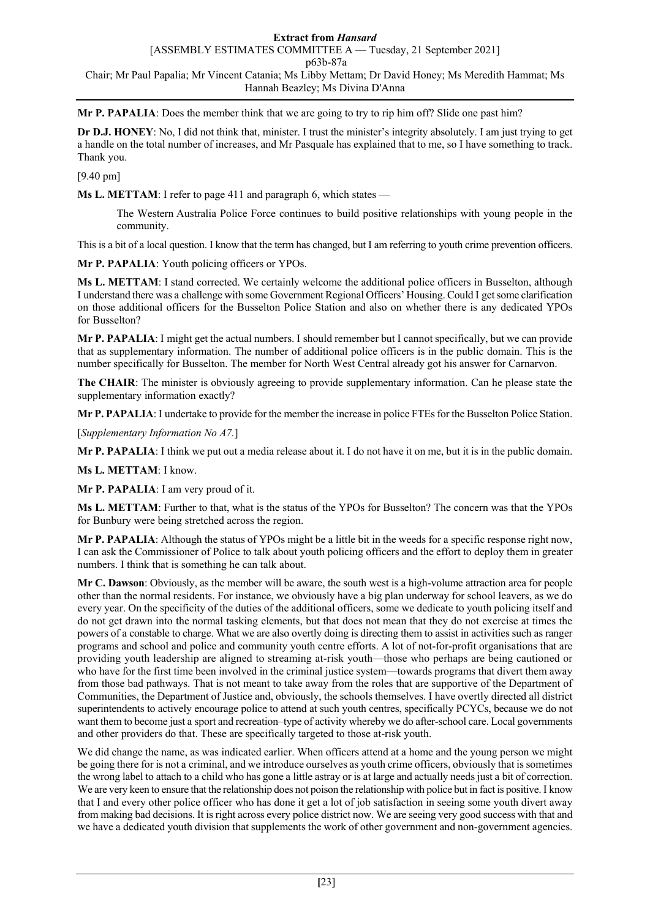**Mr P. PAPALIA**: Does the member think that we are going to try to rip him off? Slide one past him?

**Dr D.J. HONEY**: No, I did not think that, minister. I trust the minister's integrity absolutely. I am just trying to get a handle on the total number of increases, and Mr Pasquale has explained that to me, so I have something to track. Thank you.

## [9.40 pm]

**Ms L. METTAM**: I refer to page 411 and paragraph 6, which states —

The Western Australia Police Force continues to build positive relationships with young people in the community.

This is a bit of a local question. I know that the term has changed, but I am referring to youth crime prevention officers.

**Mr P. PAPALIA**: Youth policing officers or YPOs.

**Ms L. METTAM**: I stand corrected. We certainly welcome the additional police officers in Busselton, although I understand there was a challenge with some Government Regional Officers' Housing. Could I get some clarification on those additional officers for the Busselton Police Station and also on whether there is any dedicated YPOs for Busselton?

**Mr P. PAPALIA**: I might get the actual numbers. I should remember but I cannot specifically, but we can provide that as supplementary information. The number of additional police officers is in the public domain. This is the number specifically for Busselton. The member for North West Central already got his answer for Carnarvon.

**The CHAIR**: The minister is obviously agreeing to provide supplementary information. Can he please state the supplementary information exactly?

**Mr P. PAPALIA**: I undertake to provide for the member the increase in police FTEs for the Busselton Police Station.

[*Supplementary Information No A7.*]

**Mr P. PAPALIA**: I think we put out a media release about it. I do not have it on me, but it is in the public domain.

**Ms L. METTAM**: I know.

**Mr P. PAPALIA**: I am very proud of it.

**Ms L. METTAM**: Further to that, what is the status of the YPOs for Busselton? The concern was that the YPOs for Bunbury were being stretched across the region.

**Mr P. PAPALIA**: Although the status of YPOs might be a little bit in the weeds for a specific response right now, I can ask the Commissioner of Police to talk about youth policing officers and the effort to deploy them in greater numbers. I think that is something he can talk about.

**Mr C. Dawson**: Obviously, as the member will be aware, the south west is a high-volume attraction area for people other than the normal residents. For instance, we obviously have a big plan underway for school leavers, as we do every year. On the specificity of the duties of the additional officers, some we dedicate to youth policing itself and do not get drawn into the normal tasking elements, but that does not mean that they do not exercise at times the powers of a constable to charge. What we are also overtly doing is directing them to assist in activities such as ranger programs and school and police and community youth centre efforts. A lot of not-for-profit organisations that are providing youth leadership are aligned to streaming at-risk youth—those who perhaps are being cautioned or who have for the first time been involved in the criminal justice system—towards programs that divert them away from those bad pathways. That is not meant to take away from the roles that are supportive of the Department of Communities, the Department of Justice and, obviously, the schools themselves. I have overtly directed all district superintendents to actively encourage police to attend at such youth centres, specifically PCYCs, because we do not want them to become just a sport and recreation–type of activity whereby we do after-school care. Local governments and other providers do that. These are specifically targeted to those at-risk youth.

We did change the name, as was indicated earlier. When officers attend at a home and the young person we might be going there for is not a criminal, and we introduce ourselves as youth crime officers, obviously that is sometimes the wrong label to attach to a child who has gone a little astray or is at large and actually needs just a bit of correction. We are very keen to ensure that the relationship does not poison the relationship with police but in fact is positive. I know that I and every other police officer who has done it get a lot of job satisfaction in seeing some youth divert away from making bad decisions. It is right across every police district now. We are seeing very good success with that and we have a dedicated youth division that supplements the work of other government and non-government agencies.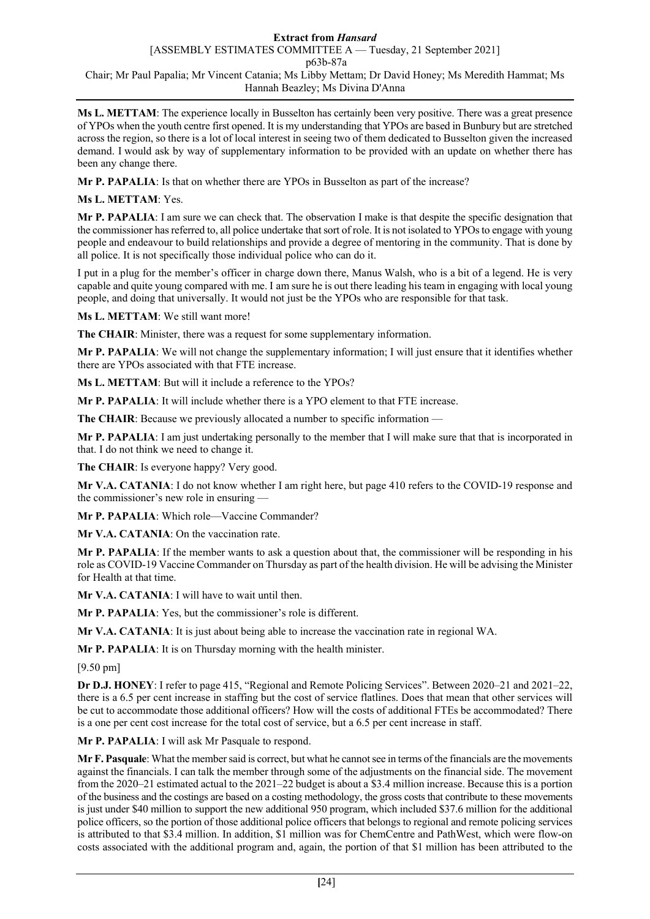**Ms L. METTAM**: The experience locally in Busselton has certainly been very positive. There was a great presence of YPOs when the youth centre first opened. It is my understanding that YPOs are based in Bunbury but are stretched across the region, so there is a lot of local interest in seeing two of them dedicated to Busselton given the increased demand. I would ask by way of supplementary information to be provided with an update on whether there has been any change there.

**Mr P. PAPALIA**: Is that on whether there are YPOs in Busselton as part of the increase?

**Ms L. METTAM**: Yes.

**Mr P. PAPALIA**: I am sure we can check that. The observation I make is that despite the specific designation that the commissioner has referred to, all police undertake that sort of role. It is not isolated to YPOs to engage with young people and endeavour to build relationships and provide a degree of mentoring in the community. That is done by all police. It is not specifically those individual police who can do it.

I put in a plug for the member's officer in charge down there, Manus Walsh, who is a bit of a legend. He is very capable and quite young compared with me. I am sure he is out there leading his team in engaging with local young people, and doing that universally. It would not just be the YPOs who are responsible for that task.

**Ms L. METTAM**: We still want more!

**The CHAIR**: Minister, there was a request for some supplementary information.

**Mr P. PAPALIA**: We will not change the supplementary information; I will just ensure that it identifies whether there are YPOs associated with that FTE increase.

**Ms L. METTAM**: But will it include a reference to the YPOs?

**Mr P. PAPALIA**: It will include whether there is a YPO element to that FTE increase.

**The CHAIR**: Because we previously allocated a number to specific information —

**Mr P. PAPALIA**: I am just undertaking personally to the member that I will make sure that that is incorporated in that. I do not think we need to change it.

**The CHAIR**: Is everyone happy? Very good.

**Mr V.A. CATANIA**: I do not know whether I am right here, but page 410 refers to the COVID-19 response and the commissioner's new role in ensuring —

**Mr P. PAPALIA**: Which role—Vaccine Commander?

**Mr V.A. CATANIA**: On the vaccination rate.

**Mr P. PAPALIA**: If the member wants to ask a question about that, the commissioner will be responding in his role as COVID-19 Vaccine Commander on Thursday as part of the health division. He will be advising the Minister for Health at that time.

**Mr V.A. CATANIA**: I will have to wait until then.

**Mr P. PAPALIA**: Yes, but the commissioner's role is different.

**Mr V.A. CATANIA**: It is just about being able to increase the vaccination rate in regional WA.

**Mr P. PAPALIA**: It is on Thursday morning with the health minister.

[9.50 pm]

**Dr D.J. HONEY**: I refer to page 415, "Regional and Remote Policing Services". Between 2020–21 and 2021–22, there is a 6.5 per cent increase in staffing but the cost of service flatlines. Does that mean that other services will be cut to accommodate those additional officers? How will the costs of additional FTEs be accommodated? There is a one per cent cost increase for the total cost of service, but a 6.5 per cent increase in staff.

**Mr P. PAPALIA**: I will ask Mr Pasquale to respond.

**Mr F. Pasquale**: What the member said is correct, but what he cannot see in terms of the financials are the movements against the financials. I can talk the member through some of the adjustments on the financial side. The movement from the 2020–21 estimated actual to the 2021–22 budget is about a \$3.4 million increase. Because this is a portion of the business and the costings are based on a costing methodology, the gross costs that contribute to these movements is just under \$40 million to support the new additional 950 program, which included \$37.6 million for the additional police officers, so the portion of those additional police officers that belongs to regional and remote policing services is attributed to that \$3.4 million. In addition, \$1 million was for ChemCentre and PathWest, which were flow-on costs associated with the additional program and, again, the portion of that \$1 million has been attributed to the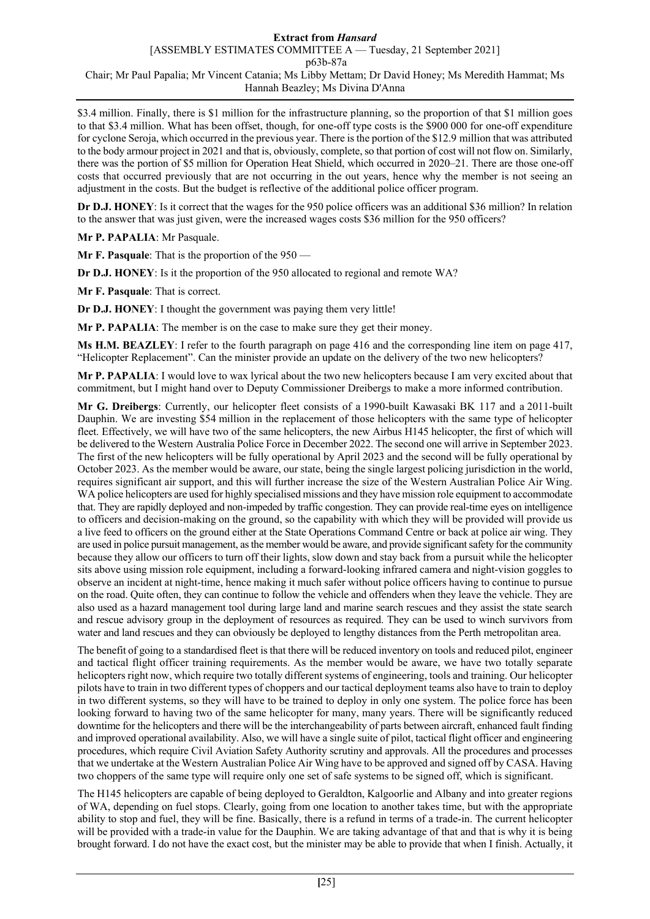\$3.4 million. Finally, there is \$1 million for the infrastructure planning, so the proportion of that \$1 million goes to that \$3.4 million. What has been offset, though, for one-off type costs is the \$900 000 for one-off expenditure for cyclone Seroja, which occurred in the previous year. There is the portion of the \$12.9 million that was attributed to the body armour project in 2021 and that is, obviously, complete, so that portion of cost will not flow on. Similarly, there was the portion of \$5 million for Operation Heat Shield, which occurred in 2020–21. There are those one-off costs that occurred previously that are not occurring in the out years, hence why the member is not seeing an adjustment in the costs. But the budget is reflective of the additional police officer program.

**Dr D.J. HONEY**: Is it correct that the wages for the 950 police officers was an additional \$36 million? In relation to the answer that was just given, were the increased wages costs \$36 million for the 950 officers?

**Mr P. PAPALIA**: Mr Pasquale.

**Mr F. Pasquale**: That is the proportion of the 950 —

**Dr D.J. HONEY**: Is it the proportion of the 950 allocated to regional and remote WA?

**Mr F. Pasquale**: That is correct.

**Dr D.J. HONEY**: I thought the government was paying them very little!

**Mr P. PAPALIA**: The member is on the case to make sure they get their money.

**Ms H.M. BEAZLEY**: I refer to the fourth paragraph on page 416 and the corresponding line item on page 417, "Helicopter Replacement". Can the minister provide an update on the delivery of the two new helicopters?

**Mr P. PAPALIA**: I would love to wax lyrical about the two new helicopters because I am very excited about that commitment, but I might hand over to Deputy Commissioner Dreibergs to make a more informed contribution.

**Mr G. Dreibergs**: Currently, our helicopter fleet consists of a 1990-built Kawasaki BK 117 and a 2011-built Dauphin. We are investing \$54 million in the replacement of those helicopters with the same type of helicopter fleet. Effectively, we will have two of the same helicopters, the new Airbus H145 helicopter, the first of which will be delivered to the Western Australia Police Force in December 2022. The second one will arrive in September 2023. The first of the new helicopters will be fully operational by April 2023 and the second will be fully operational by October 2023. As the member would be aware, our state, being the single largest policing jurisdiction in the world, requires significant air support, and this will further increase the size of the Western Australian Police Air Wing. WA police helicopters are used for highly specialised missions and they have mission role equipment to accommodate that. They are rapidly deployed and non-impeded by traffic congestion. They can provide real-time eyes on intelligence to officers and decision-making on the ground, so the capability with which they will be provided will provide us a live feed to officers on the ground either at the State Operations Command Centre or back at police air wing. They are used in police pursuit management, as the member would be aware, and provide significant safety for the community because they allow our officers to turn off their lights, slow down and stay back from a pursuit while the helicopter sits above using mission role equipment, including a forward-looking infrared camera and night-vision goggles to observe an incident at night-time, hence making it much safer without police officers having to continue to pursue on the road. Quite often, they can continue to follow the vehicle and offenders when they leave the vehicle. They are also used as a hazard management tool during large land and marine search rescues and they assist the state search and rescue advisory group in the deployment of resources as required. They can be used to winch survivors from water and land rescues and they can obviously be deployed to lengthy distances from the Perth metropolitan area.

The benefit of going to a standardised fleet is that there will be reduced inventory on tools and reduced pilot, engineer and tactical flight officer training requirements. As the member would be aware, we have two totally separate helicopters right now, which require two totally different systems of engineering, tools and training. Our helicopter pilots have to train in two different types of choppers and our tactical deployment teams also have to train to deploy in two different systems, so they will have to be trained to deploy in only one system. The police force has been looking forward to having two of the same helicopter for many, many years. There will be significantly reduced downtime for the helicopters and there will be the interchangeability of parts between aircraft, enhanced fault finding and improved operational availability. Also, we will have a single suite of pilot, tactical flight officer and engineering procedures, which require Civil Aviation Safety Authority scrutiny and approvals. All the procedures and processes that we undertake at the Western Australian Police Air Wing have to be approved and signed off by CASA. Having two choppers of the same type will require only one set of safe systems to be signed off, which is significant.

The H145 helicopters are capable of being deployed to Geraldton, Kalgoorlie and Albany and into greater regions of WA, depending on fuel stops. Clearly, going from one location to another takes time, but with the appropriate ability to stop and fuel, they will be fine. Basically, there is a refund in terms of a trade-in. The current helicopter will be provided with a trade-in value for the Dauphin. We are taking advantage of that and that is why it is being brought forward. I do not have the exact cost, but the minister may be able to provide that when I finish. Actually, it